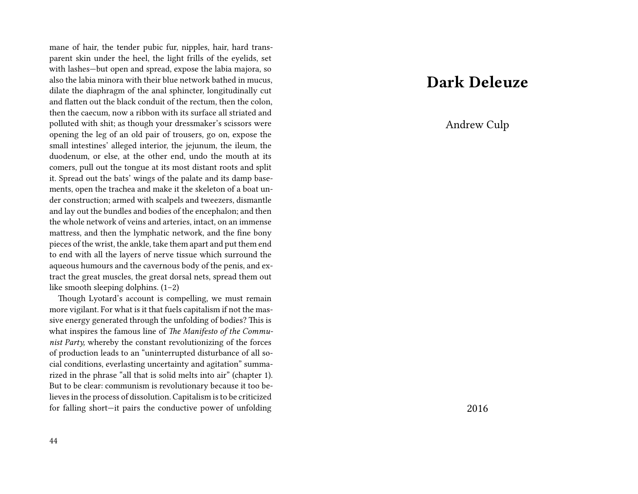mane of hair, the tender pubic fur, nipples, hair, hard transparent skin under the heel, the light frills of the eyelids, set with lashes—but open and spread, expose the labia majora, so also the labia minora with their blue network bathed in mucus, dilate the diaphragm of the anal sphincter, longitudinally cut and flatten out the black conduit of the rectum, then the colon, then the caecum, now a ribbon with its surface all striated and polluted with shit; as though your dressmaker's scissors were opening the leg of an old pair of trousers, go on, expose the small intestines' alleged interior, the jejunum, the ileum, the duodenum, or else, at the other end, undo the mouth at its comers, pull out the tongue at its most distant roots and split it. Spread out the bats' wings of the palate and its damp basements, open the trachea and make it the skeleton of a boat under construction; armed with scalpels and tweezers, dismantle and lay out the bundles and bodies of the encephalon; and then the whole network of veins and arteries, intact, on an immense mattress, and then the lymphatic network, and the fine bony pieces of the wrist, the ankle, take them apart and put them end to end with all the layers of nerve tissue which surround the aqueous humours and the cavernous body of the penis, and extract the great muscles, the great dorsal nets, spread them out like smooth sleeping dolphins. (1–2)

Though Lyotard's account is compelling, we must remain more vigilant. For what is it that fuels capitalism if not the massive energy generated through the unfolding of bodies? This is what inspires the famous line of *The Manifesto of the Communist Party,* whereby the constant revolutionizing of the forces of production leads to an "uninterrupted disturbance of all social conditions, everlasting uncertainty and agitation" summarized in the phrase "all that is solid melts into air" (chapter 1). But to be clear: communism is revolutionary because it too believes in the process of dissolution. Capitalism is to be criticized for falling short—it pairs the conductive power of unfolding

## **Dark Deleuze**

Andrew Culp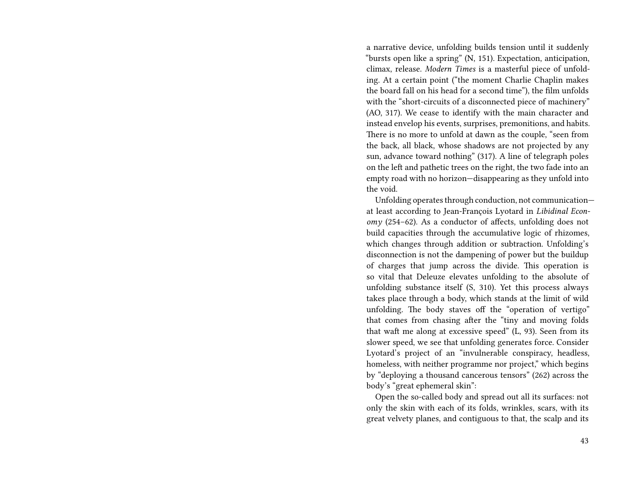a narrative device, unfolding builds tension until it suddenly "bursts open like a spring" (N, 151). Expectation, anticipation, climax, release. *Modern Times* is a masterful piece of unfolding. At a certain point ("the moment Charlie Chaplin makes the board fall on his head for a second time"), the film unfolds with the "short-circuits of a disconnected piece of machinery" (AO, 317). We cease to identify with the main character and instead envelop his events, surprises, premonitions, and habits. There is no more to unfold at dawn as the couple, "seen from the back, all black, whose shadows are not projected by any sun, advance toward nothing" (317). A line of telegraph poles on the left and pathetic trees on the right, the two fade into an empty road with no horizon—disappearing as they unfold into the void.

Unfolding operates through conduction, not communication at least according to Jean-François Lyotard in *Libidinal Economy* (254–62). As a conductor of affects, unfolding does not build capacities through the accumulative logic of rhizomes, which changes through addition or subtraction. Unfolding's disconnection is not the dampening of power but the buildup of charges that jump across the divide. This operation is so vital that Deleuze elevates unfolding to the absolute of unfolding substance itself (S, 310). Yet this process always takes place through a body, which stands at the limit of wild unfolding. The body staves off the "operation of vertigo" that comes from chasing after the "tiny and moving folds that waft me along at excessive speed" (L, 93). Seen from its slower speed, we see that unfolding generates force. Consider Lyotard's project of an "invulnerable conspiracy, headless, homeless, with neither programme nor project," which begins by "deploying a thousand cancerous tensors" (262) across the body's "great ephemeral skin":

Open the so-called body and spread out all its surfaces: not only the skin with each of its folds, wrinkles, scars, with its great velvety planes, and contiguous to that, the scalp and its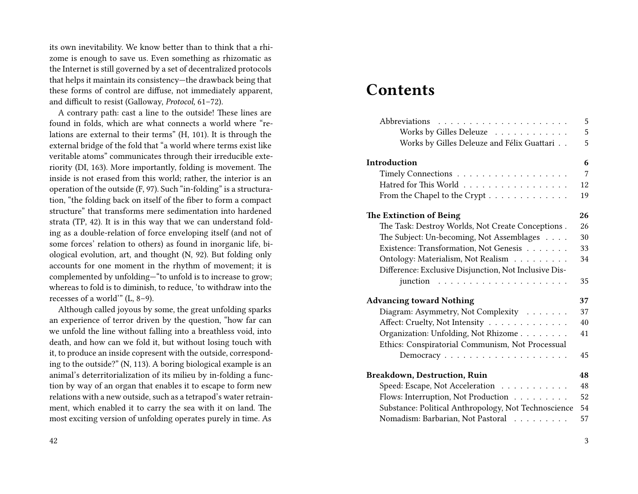its own inevitability. We know better than to think that a rhizome is enough to save us. Even something as rhizomatic as the Internet is still governed by a set of decentralized protocols that helps it maintain its consistency—the drawback being that these forms of control are diffuse, not immediately apparent, and difficult to resist (Galloway, *Protocol,* 61–72).

A contrary path: cast a line to the outside! These lines are found in folds, which are what connects a world where "relations are external to their terms" (H, 101). It is through the external bridge of the fold that "a world where terms exist like veritable atoms" communicates through their irreducible exteriority (DI, 163). More importantly, folding is movement. The inside is not erased from this world; rather, the interior is an operation of the outside (F, 97). Such "in-folding" is a structuration, "the folding back on itself of the fiber to form a compact structure" that transforms mere sedimentation into hardened strata (TP, 42). It is in this way that we can understand folding as a double-relation of force enveloping itself (and not of some forces' relation to others) as found in inorganic life, biological evolution, art, and thought (N, 92). But folding only accounts for one moment in the rhythm of movement; it is complemented by unfolding—"to unfold is to increase to grow; whereas to fold is to diminish, to reduce, 'to withdraw into the recesses of a world'" (L, 8–9).

Although called joyous by some, the great unfolding sparks an experience of terror driven by the question, "how far can we unfold the line without falling into a breathless void, into death, and how can we fold it, but without losing touch with it, to produce an inside copresent with the outside, corresponding to the outside?" (N, 113). A boring biological example is an animal's deterritorialization of its milieu by in-folding a function by way of an organ that enables it to escape to form new relations with a new outside, such as a tetrapod's water retrainment, which enabled it to carry the sea with it on land. The most exciting version of unfolding operates purely in time. As

## **Contents**

| Abbreviations                                         | 5  |
|-------------------------------------------------------|----|
| Works by Gilles Deleuze                               | 5  |
| Works by Gilles Deleuze and Félix Guattari            | 5  |
| Introduction                                          | 6  |
| Timely Connections                                    | 7  |
| Hatred for This World                                 | 12 |
| From the Chapel to the Crypt                          | 19 |
| The Extinction of Being                               | 26 |
| The Task: Destroy Worlds, Not Create Conceptions.     | 26 |
| The Subject: Un-becoming, Not Assemblages             | 30 |
| Existence: Transformation, Not Genesis                | 33 |
| Ontology: Materialism, Not Realism                    | 34 |
| Difference: Exclusive Disjunction, Not Inclusive Dis- |    |
| junction                                              | 35 |
| <b>Advancing toward Nothing</b>                       | 37 |
| Diagram: Asymmetry, Not Complexity                    | 37 |
| Affect: Cruelty, Not Intensity                        | 40 |
| Organization: Unfolding, Not Rhizome                  | 41 |
| Ethics: Conspiratorial Communism, Not Processual      |    |
|                                                       | 45 |
| <b>Breakdown, Destruction, Ruin</b>                   | 48 |
| Speed: Escape, Not Acceleration                       | 48 |
| Flows: Interruption, Not Production                   | 52 |
| Substance: Political Anthropology, Not Technoscience  | 54 |
| Nomadism: Barbarian, Not Pastoral                     | 57 |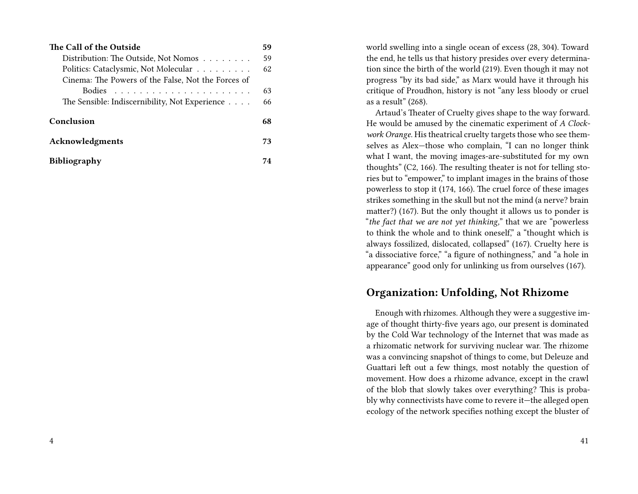| The Call of the Outside                                                                    |    |  |  |  |  |
|--------------------------------------------------------------------------------------------|----|--|--|--|--|
| Distribution: The Outside, Not Nomos                                                       |    |  |  |  |  |
| Politics: Cataclysmic, Not Molecular<br>Cinema: The Powers of the False, Not the Forces of |    |  |  |  |  |
|                                                                                            |    |  |  |  |  |
| The Sensible: Indiscernibility, Not Experience                                             | 66 |  |  |  |  |
| Conclusion                                                                                 | 68 |  |  |  |  |
| Acknowledgments                                                                            | 73 |  |  |  |  |
| <b>Bibliography</b>                                                                        | 74 |  |  |  |  |

world swelling into a single ocean of excess (28, 304). Toward the end, he tells us that history presides over every determination since the birth of the world (219). Even though it may not progress "by its bad side," as Marx would have it through his critique of Proudhon, history is not "any less bloody or cruel as a result" (268).

Artaud's Theater of Cruelty gives shape to the way forward. He would be amused by the cinematic experiment of *A Clockwork Orange*. His theatrical cruelty targets those who see themselves as Alex—those who complain, "I can no longer think what I want, the moving images-are-substituted for my own thoughts" (C2, 166). The resulting theater is not for telling stories but to "empower," to implant images in the brains of those powerless to stop it (174, 166). The cruel force of these images strikes something in the skull but not the mind (a nerve? brain matter?) (167). But the only thought it allows us to ponder is "*the fact that we are not yet thinking,*" that we are "powerless to think the whole and to think oneself," a "thought which is always fossilized, dislocated, collapsed" (167). Cruelty here is "a dissociative force," "a figure of nothingness," and "a hole in appearance" good only for unlinking us from ourselves (167).

#### **Organization: Unfolding, Not Rhizome**

Enough with rhizomes. Although they were a suggestive image of thought thirty-five years ago, our present is dominated by the Cold War technology of the Internet that was made as a rhizomatic network for surviving nuclear war. The rhizome was a convincing snapshot of things to come, but Deleuze and Guattari left out a few things, most notably the question of movement. How does a rhizome advance, except in the crawl of the blob that slowly takes over everything? This is probably why connectivists have come to revere it—the alleged open ecology of the network specifies nothing except the bluster of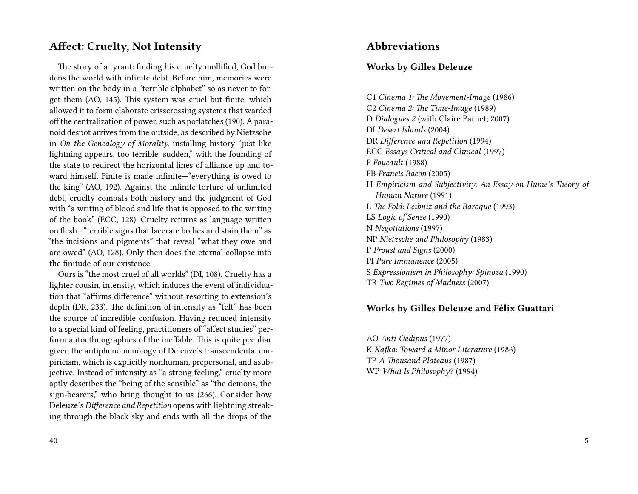#### **Affect: Cruelty, Not Intensity**

The story of a tyrant: finding his cruelty mollified, God burdens the world with infinite debt. Before him, memories were written on the body in a "terrible alphabet" so as never to forget them (AO, 145). This system was cruel but finite, which allowed it to form elaborate crisscrossing systems that warded off the centralization of power, such as potlatches (190). A paranoid despot arrives from the outside, as described by Nietzsche in *On the Genealogy of Morality,* installing history "just like lightning appears, too terrible, sudden," with the founding of the state to redirect the horizontal lines of alliance up and toward himself. Finite is made infinite—"everything is owed to the king" (AO, 192). Against the infinite torture of unlimited debt, cruelty combats both history and the judgment of God with "a writing of blood and life that is opposed to the writing of the book" (ECC, 128). Cruelty returns as language written on flesh—"terrible signs that lacerate bodies and stain them" as "the incisions and pigments" that reveal "what they owe and are owed" (AO, 128). Only then does the eternal collapse into the finitude of our existence.

Ours is "the most cruel of all worlds" (DI, 108). Cruelty has a lighter cousin, intensity, which induces the event of individuation that "affirms difference" without resorting to extension's depth (DR, 233). The definition of intensity as "felt" has been the source of incredible confusion. Having reduced intensity to a special kind of feeling, practitioners of "affect studies" perform autoethnographies of the ineffable. This is quite peculiar given the antiphenomenology of Deleuze's transcendental empiricism, which is explicitly nonhuman, prepersonal, and asubjective. Instead of intensity as "a strong feeling," cruelty more aptly describes the "being of the sensible" as "the demons, the sign-bearers," who bring thought to us (266). Consider how Deleuze's *Difference and Repetition* opens with lightning streaking through the black sky and ends with all the drops of the

#### 40

#### **Abbreviations**

#### **Works by Gilles Deleuze**

C1 *Cinema 1: The Movement-Image* (1986) C2 *Cinema 2: The Time-Image* (1989) D *Dialogues 2* (with Claire Parnet; 2007) DI *Desert Islands* (2004) DR *Difference and Repetition* (1994) ECC *Essays Critical and Clinical* (1997) F *Foucault* (1988) FB *Francis Bacon* (2005) H *Empiricism and Subjectivity: An Essay on Hume's Theory of Human Nature* (1991) L *The Fold: Leibniz and the Baroque* (1993) LS *Logic of Sense* (1990) N *Negotiations* (1997) NP *Nietzsche and Philosophy* (1983) P *Proust and Signs* (2000) PI *Pure Immanence* (2005) S *Expressionism in Philosophy: Spinoza* (1990) TR *Two Regimes of Madness* (2007)

#### **Works by Gilles Deleuze and Félix Guattari**

AO *Anti-Oedipus* (1977) K *Kafka: Toward a Minor Literature* (1986) TP *A Thousand Plateaus* (1987) WP *What Is Philosophy?* (1994)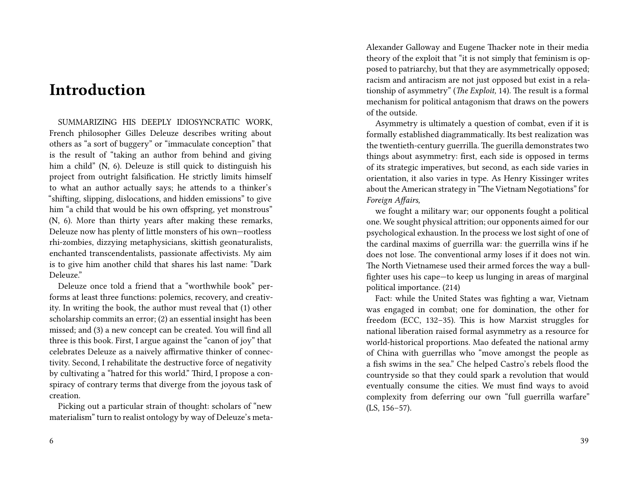## **Introduction**

SUMMARIZING HIS DEEPLY IDIOSYNCRATIC WORK, French philosopher Gilles Deleuze describes writing about others as "a sort of buggery" or "immaculate conception" that is the result of "taking an author from behind and giving him a child" (N, 6). Deleuze is still quick to distinguish his project from outright falsification. He strictly limits himself to what an author actually says; he attends to a thinker's "shifting, slipping, dislocations, and hidden emissions" to give him "a child that would be his own offspring, yet monstrous" (N, 6). More than thirty years after making these remarks, Deleuze now has plenty of little monsters of his own—rootless rhi-zombies, dizzying metaphysicians, skittish geonaturalists, enchanted transcendentalists, passionate affectivists. My aim is to give him another child that shares his last name: "Dark Deleuze."

Deleuze once told a friend that a "worthwhile book" performs at least three functions: polemics, recovery, and creativity. In writing the book, the author must reveal that (1) other scholarship commits an error; (2) an essential insight has been missed; and (3) a new concept can be created. You will find all three is this book. First, I argue against the "canon of joy" that celebrates Deleuze as a naively affirmative thinker of connectivity. Second, I rehabilitate the destructive force of negativity by cultivating a "hatred for this world." Third, I propose a conspiracy of contrary terms that diverge from the joyous task of creation.

Picking out a particular strain of thought: scholars of "new materialism" turn to realist ontology by way of Deleuze's metaAlexander Galloway and Eugene Thacker note in their media theory of the exploit that "it is not simply that feminism is opposed to patriarchy, but that they are asymmetrically opposed; racism and antiracism are not just opposed but exist in a relationship of asymmetry" (*The Exploit,* 14). The result is a formal mechanism for political antagonism that draws on the powers of the outside.

Asymmetry is ultimately a question of combat, even if it is formally established diagrammatically. Its best realization was the twentieth-century guerrilla. The guerilla demonstrates two things about asymmetry: first, each side is opposed in terms of its strategic imperatives, but second, as each side varies in orientation, it also varies in type. As Henry Kissinger writes about the American strategy in "The Vietnam Negotiations" for *Foreign Affairs,*

we fought a military war; our opponents fought a political one. We sought physical attrition; our opponents aimed for our psychological exhaustion. In the process we lost sight of one of the cardinal maxims of guerrilla war: the guerrilla wins if he does not lose. The conventional army loses if it does not win. The North Vietnamese used their armed forces the way a bullfighter uses his cape—to keep us lunging in areas of marginal political importance. (214)

Fact: while the United States was fighting a war, Vietnam was engaged in combat; one for domination, the other for freedom (ECC, 132–35). This is how Marxist struggles for national liberation raised formal asymmetry as a resource for world-historical proportions. Mao defeated the national army of China with guerrillas who "move amongst the people as a fish swims in the sea." Che helped Castro's rebels flood the countryside so that they could spark a revolution that would eventually consume the cities. We must find ways to avoid complexity from deferring our own "full guerrilla warfare" (LS, 156–57).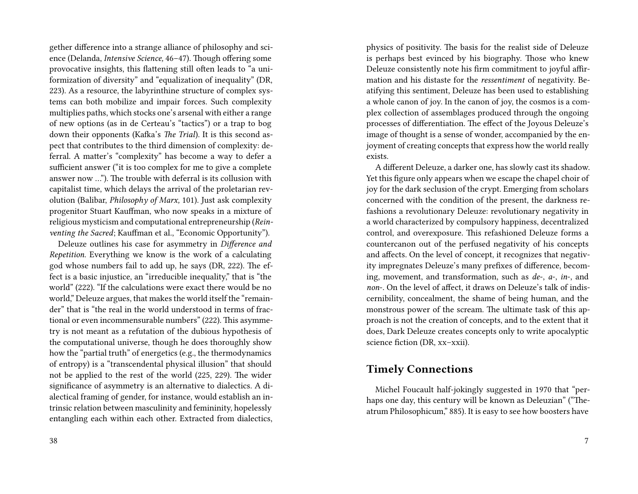gether difference into a strange alliance of philosophy and science (Delanda, *Intensive Science,* 46–47). Though offering some provocative insights, this flattening still often leads to "a uniformization of diversity" and "equalization of inequality" (DR, 223). As a resource, the labyrinthine structure of complex systems can both mobilize and impair forces. Such complexity multiplies paths, which stocks one's arsenal with either a range of new options (as in de Certeau's "tactics") or a trap to bog down their opponents (Kafka's *The Trial*). It is this second aspect that contributes to the third dimension of complexity: deferral. A matter's "complexity" has become a way to defer a sufficient answer ("it is too complex for me to give a complete answer now …"). The trouble with deferral is its collusion with capitalist time, which delays the arrival of the proletarian revolution (Balibar, *Philosophy of Marx,* 101). Just ask complexity progenitor Stuart Kauffman, who now speaks in a mixture of religious mysticism and computational entrepreneurship (*Reinventing the Sacred*; Kauffman et al., "Economic Opportunity").

Deleuze outlines his case for asymmetry in *Difference and Repetition*. Everything we know is the work of a calculating god whose numbers fail to add up, he says (DR, 222). The effect is a basic injustice, an "irreducible inequality," that is "the world" (222). "If the calculations were exact there would be no world," Deleuze argues, that makes the world itself the "remainder" that is "the real in the world understood in terms of fractional or even incommensurable numbers" (222). This asymmetry is not meant as a refutation of the dubious hypothesis of the computational universe, though he does thoroughly show how the "partial truth" of energetics (e.g., the thermodynamics of entropy) is a "transcendental physical illusion" that should not be applied to the rest of the world (225, 229). The wider significance of asymmetry is an alternative to dialectics. A dialectical framing of gender, for instance, would establish an intrinsic relation between masculinity and femininity, hopelessly entangling each within each other. Extracted from dialectics,

physics of positivity. The basis for the realist side of Deleuze is perhaps best evinced by his biography. Those who knew Deleuze consistently note his firm commitment to joyful affirmation and his distaste for the *ressentiment* of negativity. Beatifying this sentiment, Deleuze has been used to establishing a whole canon of joy. In the canon of joy, the cosmos is a complex collection of assemblages produced through the ongoing processes of differentiation. The effect of the Joyous Deleuze's image of thought is a sense of wonder, accompanied by the enjoyment of creating concepts that express how the world really exists.

A different Deleuze, a darker one, has slowly cast its shadow. Yet this figure only appears when we escape the chapel choir of joy for the dark seclusion of the crypt. Emerging from scholars concerned with the condition of the present, the darkness refashions a revolutionary Deleuze: revolutionary negativity in a world characterized by compulsory happiness, decentralized control, and overexposure. This refashioned Deleuze forms a countercanon out of the perfused negativity of his concepts and affects. On the level of concept, it recognizes that negativity impregnates Deleuze's many prefixes of difference, becoming, movement, and transformation, such as *de*-, *a*-, *in*-, and *non*-. On the level of affect, it draws on Deleuze's talk of indiscernibility, concealment, the shame of being human, and the monstrous power of the scream. The ultimate task of this approach is not the creation of concepts, and to the extent that it does, Dark Deleuze creates concepts only to write apocalyptic science fiction (DR, xx–xxii).

### **Timely Connections**

Michel Foucault half-jokingly suggested in 1970 that "perhaps one day, this century will be known as Deleuzian" ("Theatrum Philosophicum," 885). It is easy to see how boosters have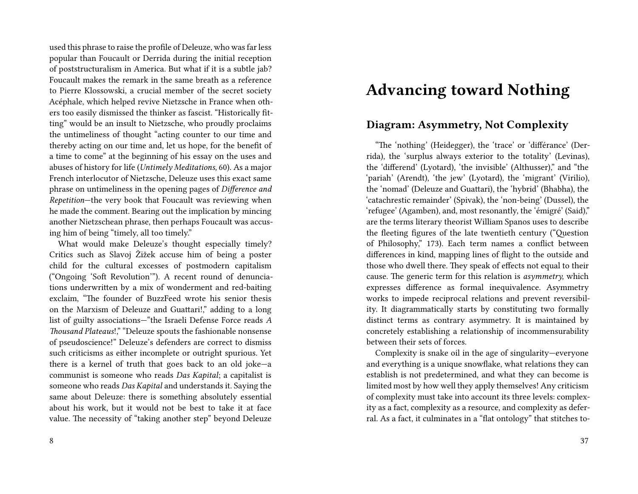used this phrase to raise the profile of Deleuze, who was far less popular than Foucault or Derrida during the initial reception of poststructuralism in America. But what if it is a subtle jab? Foucault makes the remark in the same breath as a reference to Pierre Klossowski, a crucial member of the secret society Acéphale, which helped revive Nietzsche in France when others too easily dismissed the thinker as fascist. "Historically fitting" would be an insult to Nietzsche, who proudly proclaims the untimeliness of thought "acting counter to our time and thereby acting on our time and, let us hope, for the benefit of a time to come" at the beginning of his essay on the uses and abuses of history for life (*Untimely Meditations,* 60). As a major French interlocutor of Nietzsche, Deleuze uses this exact same phrase on untimeliness in the opening pages of *Difference and Repetition*—the very book that Foucault was reviewing when he made the comment. Bearing out the implication by mincing another Nietzschean phrase, then perhaps Foucault was accusing him of being "timely, all too timely."

What would make Deleuze's thought especially timely? Critics such as Slavoj Žižek accuse him of being a poster child for the cultural excesses of postmodern capitalism ("Ongoing 'Soft Revolution'"). A recent round of denunciations underwritten by a mix of wonderment and red-baiting exclaim, "The founder of BuzzFeed wrote his senior thesis on the Marxism of Deleuze and Guattari!," adding to a long list of guilty associations—"the Israeli Defense Force reads *A Thousand Plateaus*!," "Deleuze spouts the fashionable nonsense of pseudoscience!" Deleuze's defenders are correct to dismiss such criticisms as either incomplete or outright spurious. Yet there is a kernel of truth that goes back to an old joke—a communist is someone who reads *Das Kapital*; a capitalist is someone who reads *Das Kapital* and understands it. Saying the same about Deleuze: there is something absolutely essential about his work, but it would not be best to take it at face value. The necessity of "taking another step" beyond Deleuze

# **Advancing toward Nothing**

### **Diagram: Asymmetry, Not Complexity**

"The 'nothing' (Heidegger), the 'trace' or 'différance' (Derrida), the 'surplus always exterior to the totality' (Levinas), the 'differend' (Lyotard), 'the invisible' (Althusser)," and "the 'pariah' (Arendt), 'the jew' (Lyotard), the 'migrant' (Virilio), the 'nomad' (Deleuze and Guattari), the 'hybrid' (Bhabha), the 'catachrestic remainder' (Spivak), the 'non-being' (Dussel), the 'refugee' (Agamben), and, most resonantly, the 'émigré' (Said)," are the terms literary theorist William Spanos uses to describe the fleeting figures of the late twentieth century ("Question of Philosophy," 173). Each term names a conflict between differences in kind, mapping lines of flight to the outside and those who dwell there. They speak of effects not equal to their cause. The generic term for this relation is *asymmetry,* which expresses difference as formal inequivalence. Asymmetry works to impede reciprocal relations and prevent reversibility. It diagrammatically starts by constituting two formally distinct terms as contrary asymmetry. It is maintained by concretely establishing a relationship of incommensurability between their sets of forces.

Complexity is snake oil in the age of singularity—everyone and everything is a unique snowflake, what relations they can establish is not predetermined, and what they can become is limited most by how well they apply themselves! Any criticism of complexity must take into account its three levels: complexity as a fact, complexity as a resource, and complexity as deferral. As a fact, it culminates in a "flat ontology" that stitches to-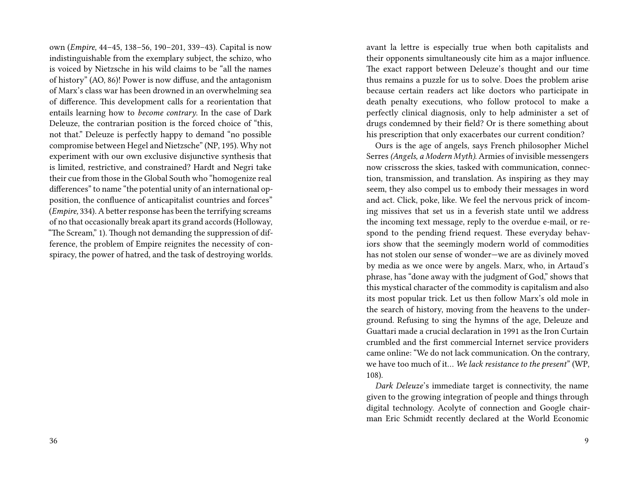own (*Empire,* 44–45, 138–56, 190–201, 339–43). Capital is now indistinguishable from the exemplary subject, the schizo, who is voiced by Nietzsche in his wild claims to be "all the names of history" (AO, 86)! Power is now diffuse, and the antagonism of Marx's class war has been drowned in an overwhelming sea of difference. This development calls for a reorientation that entails learning how to *become contrary*. In the case of Dark Deleuze, the contrarian position is the forced choice of "this, not that." Deleuze is perfectly happy to demand "no possible compromise between Hegel and Nietzsche" (NP, 195). Why not experiment with our own exclusive disjunctive synthesis that is limited, restrictive, and constrained? Hardt and Negri take their cue from those in the Global South who "homogenize real differences" to name "the potential unity of an international opposition, the confluence of anticapitalist countries and forces" (*Empire,* 334). A better response has been the terrifying screams of no that occasionally break apart its grand accords (Holloway, "The Scream," 1). Though not demanding the suppression of difference, the problem of Empire reignites the necessity of conspiracy, the power of hatred, and the task of destroying worlds.

avant la lettre is especially true when both capitalists and their opponents simultaneously cite him as a major influence. The exact rapport between Deleuze's thought and our time thus remains a puzzle for us to solve. Does the problem arise because certain readers act like doctors who participate in death penalty executions, who follow protocol to make a perfectly clinical diagnosis, only to help administer a set of drugs condemned by their field? Or is there something about his prescription that only exacerbates our current condition?

Ours is the age of angels, says French philosopher Michel Serres*(Angels, a Modern Myth)*. Armies of invisible messengers now crisscross the skies, tasked with communication, connection, transmission, and translation. As inspiring as they may seem, they also compel us to embody their messages in word and act. Click, poke, like. We feel the nervous prick of incoming missives that set us in a feverish state until we address the incoming text message, reply to the overdue e-mail, or respond to the pending friend request. These everyday behaviors show that the seemingly modern world of commodities has not stolen our sense of wonder—we are as divinely moved by media as we once were by angels. Marx, who, in Artaud's phrase, has "done away with the judgment of God," shows that this mystical character of the commodity is capitalism and also its most popular trick. Let us then follow Marx's old mole in the search of history, moving from the heavens to the underground. Refusing to sing the hymns of the age, Deleuze and Guattari made a crucial declaration in 1991 as the Iron Curtain crumbled and the first commercial Internet service providers came online: "We do not lack communication. On the contrary, we have too much of it… *We lack resistance to the present*" (WP, 108).

*Dark Deleuze*'s immediate target is connectivity, the name given to the growing integration of people and things through digital technology. Acolyte of connection and Google chairman Eric Schmidt recently declared at the World Economic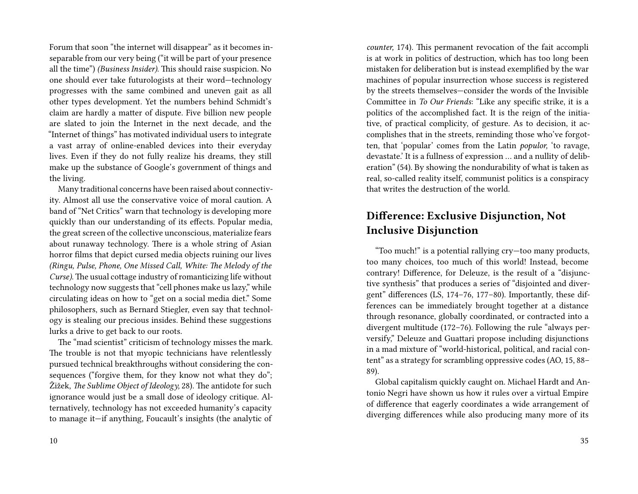Forum that soon "the internet will disappear" as it becomes inseparable from our very being ("it will be part of your presence all the time") *(Business Insider)*. This should raise suspicion. No one should ever take futurologists at their word—technology progresses with the same combined and uneven gait as all other types development. Yet the numbers behind Schmidt's claim are hardly a matter of dispute. Five billion new people are slated to join the Internet in the next decade, and the "Internet of things" has motivated individual users to integrate a vast array of online-enabled devices into their everyday lives. Even if they do not fully realize his dreams, they still make up the substance of Google's government of things and the living.

Many traditional concerns have been raised about connectivity. Almost all use the conservative voice of moral caution. A band of "Net Critics" warn that technology is developing more quickly than our understanding of its effects. Popular media, the great screen of the collective unconscious, materialize fears about runaway technology. There is a whole string of Asian horror films that depict cursed media objects ruining our lives *(Ringu, Pulse, Phone, One Missed Call, White: The Melody of the Curse)*. The usual cottage industry of romanticizing life without technology now suggests that "cell phones make us lazy," while circulating ideas on how to "get on a social media diet." Some philosophers, such as Bernard Stiegler, even say that technology is stealing our precious insides. Behind these suggestions lurks a drive to get back to our roots.

The "mad scientist" criticism of technology misses the mark. The trouble is not that myopic technicians have relentlessly pursued technical breakthroughs without considering the consequences ("forgive them, for they know not what they do"; Žižek, *The Sublime Object of Ideology,* 28). The antidote for such ignorance would just be a small dose of ideology critique. Alternatively, technology has not exceeded humanity's capacity to manage it—if anything, Foucault's insights (the analytic of

*counter,* 174). This permanent revocation of the fait accompli is at work in politics of destruction, which has too long been mistaken for deliberation but is instead exemplified by the war machines of popular insurrection whose success is registered by the streets themselves—consider the words of the Invisible Committee in *To Our Friends*: "Like any specific strike, it is a politics of the accomplished fact. It is the reign of the initiative, of practical complicity, of gesture. As to decision, it accomplishes that in the streets, reminding those who've forgotten, that 'popular' comes from the Latin *populor,* 'to ravage, devastate.' It is a fullness of expression … and a nullity of deliberation" (54). By showing the nondurability of what is taken as real, so-called reality itself, communist politics is a conspiracy that writes the destruction of the world.

## **Difference: Exclusive Disjunction, Not Inclusive Disjunction**

"Too much!" is a potential rallying cry—too many products, too many choices, too much of this world! Instead, become contrary! Difference, for Deleuze, is the result of a "disjunctive synthesis" that produces a series of "disjointed and divergent" differences (LS, 174–76, 177–80). Importantly, these differences can be immediately brought together at a distance through resonance, globally coordinated, or contracted into a divergent multitude (172–76). Following the rule "always perversify," Deleuze and Guattari propose including disjunctions in a mad mixture of "world-historical, political, and racial content" as a strategy for scrambling oppressive codes (AO, 15, 88– 89).

Global capitalism quickly caught on. Michael Hardt and Antonio Negri have shown us how it rules over a virtual Empire of difference that eagerly coordinates a wide arrangement of diverging differences while also producing many more of its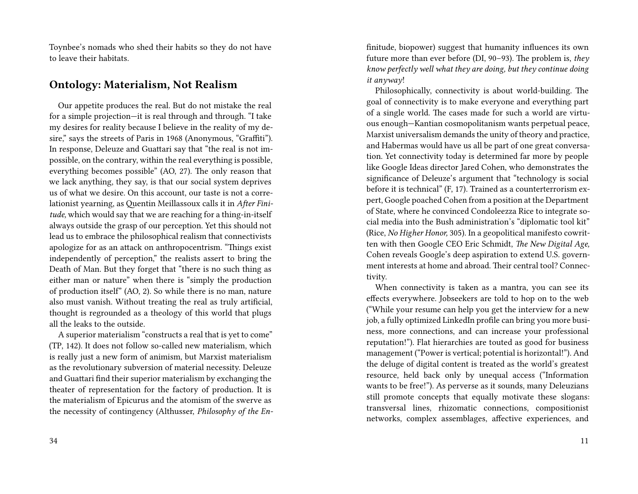Toynbee's nomads who shed their habits so they do not have to leave their habitats.

#### **Ontology: Materialism, Not Realism**

Our appetite produces the real. But do not mistake the real for a simple projection—it is real through and through. "I take my desires for reality because I believe in the reality of my desire," says the streets of Paris in 1968 (Anonymous, "Graffiti"). In response, Deleuze and Guattari say that "the real is not impossible, on the contrary, within the real everything is possible, everything becomes possible" (AO, 27). The only reason that we lack anything, they say, is that our social system deprives us of what we desire. On this account, our taste is not a correlationist yearning, as Quentin Meillassoux calls it in *After Finitude,* which would say that we are reaching for a thing-in-itself always outside the grasp of our perception. Yet this should not lead us to embrace the philosophical realism that connectivists apologize for as an attack on anthropocentrism. "Things exist independently of perception," the realists assert to bring the Death of Man. But they forget that "there is no such thing as either man or nature" when there is "simply the production of production itself" (AO, 2). So while there is no man, nature also must vanish. Without treating the real as truly artificial, thought is regrounded as a theology of this world that plugs all the leaks to the outside.

A superior materialism "constructs a real that is yet to come" (TP, 142). It does not follow so-called new materialism, which is really just a new form of animism, but Marxist materialism as the revolutionary subversion of material necessity. Deleuze and Guattari find their superior materialism by exchanging the theater of representation for the factory of production. It is the materialism of Epicurus and the atomism of the swerve as the necessity of contingency (Althusser, *Philosophy of the En-* finitude, biopower) suggest that humanity influences its own future more than ever before (DI, 90–93). The problem is, *they know perfectly well what they are doing, but they continue doing it anyway*!

Philosophically, connectivity is about world-building. The goal of connectivity is to make everyone and everything part of a single world. The cases made for such a world are virtuous enough—Kantian cosmopolitanism wants perpetual peace, Marxist universalism demands the unity of theory and practice, and Habermas would have us all be part of one great conversation. Yet connectivity today is determined far more by people like Google Ideas director Jared Cohen, who demonstrates the significance of Deleuze's argument that "technology is social before it is technical" (F, 17). Trained as a counterterrorism expert, Google poached Cohen from a position at the Department of State, where he convinced Condoleezza Rice to integrate social media into the Bush administration's "diplomatic tool kit" (Rice, *No Higher Honor,* 305). In a geopolitical manifesto cowritten with then Google CEO Eric Schmidt, *The New Digital Age,* Cohen reveals Google's deep aspiration to extend U.S. government interests at home and abroad. Their central tool? Connectivity.

When connectivity is taken as a mantra, you can see its effects everywhere. Jobseekers are told to hop on to the web ("While your resume can help you get the interview for a new job, a fully optimized LinkedIn profile can bring you more business, more connections, and can increase your professional reputation!"). Flat hierarchies are touted as good for business management ("Power is vertical; potential is horizontal!"). And the deluge of digital content is treated as the world's greatest resource, held back only by unequal access ("Information wants to be free!"). As perverse as it sounds, many Deleuzians still promote concepts that equally motivate these slogans: transversal lines, rhizomatic connections, compositionist networks, complex assemblages, affective experiences, and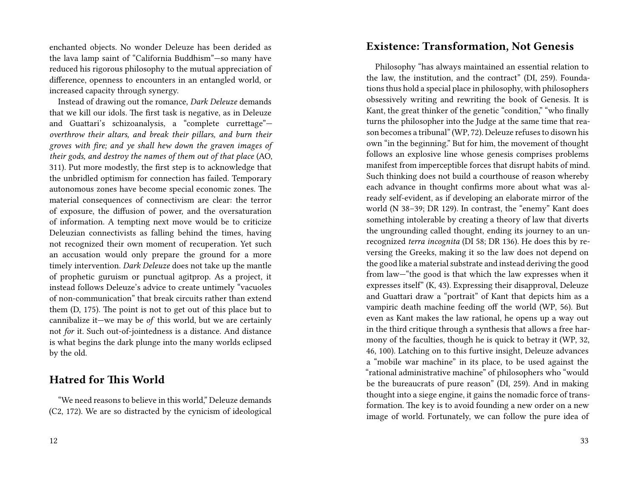enchanted objects. No wonder Deleuze has been derided as the lava lamp saint of "California Buddhism"—so many have reduced his rigorous philosophy to the mutual appreciation of difference, openness to encounters in an entangled world, or increased capacity through synergy.

Instead of drawing out the romance, *Dark Deleuze* demands that we kill our idols. The first task is negative, as in Deleuze and Guattari's schizoanalysis, a "complete currettage" *overthrow their altars, and break their pillars, and burn their groves with fire; and ye shall hew down the graven images of their gods, and destroy the names of them out of that place* (AO, 311). Put more modestly, the first step is to acknowledge that the unbridled optimism for connection has failed. Temporary autonomous zones have become special economic zones. The material consequences of connectivism are clear: the terror of exposure, the diffusion of power, and the oversaturation of information. A tempting next move would be to criticize Deleuzian connectivists as falling behind the times, having not recognized their own moment of recuperation. Yet such an accusation would only prepare the ground for a more timely intervention. *Dark Deleuze* does not take up the mantle of prophetic guruism or punctual agitprop. As a project, it instead follows Deleuze's advice to create untimely "vacuoles of non-communication" that break circuits rather than extend them (D, 175). The point is not to get out of this place but to cannibalize it—we may be *of* this world, but we are certainly not *for* it. Such out-of-jointedness is a distance. And distance is what begins the dark plunge into the many worlds eclipsed by the old.

#### **Hatred for This World**

"We need reasons to believe in this world," Deleuze demands (C2, 172). We are so distracted by the cynicism of ideological

#### **Existence: Transformation, Not Genesis**

Philosophy "has always maintained an essential relation to the law, the institution, and the contract" (DI, 259). Foundations thus hold a special place in philosophy, with philosophers obsessively writing and rewriting the book of Genesis. It is Kant, the great thinker of the genetic "condition," "who finally turns the philosopher into the Judge at the same time that reason becomes a tribunal" (WP, 72). Deleuze refuses to disown his own "in the beginning." But for him, the movement of thought follows an explosive line whose genesis comprises problems manifest from imperceptible forces that disrupt habits of mind. Such thinking does not build a courthouse of reason whereby each advance in thought confirms more about what was already self-evident, as if developing an elaborate mirror of the world (N 38–39; DR 129). In contrast, the "enemy" Kant does something intolerable by creating a theory of law that diverts the ungrounding called thought, ending its journey to an unrecognized *terra incognita* (DI 58; DR 136). He does this by reversing the Greeks, making it so the law does not depend on the good like a material substrate and instead deriving the good from law—"the good is that which the law expresses when it expresses itself" (K, 43). Expressing their disapproval, Deleuze and Guattari draw a "portrait" of Kant that depicts him as a vampiric death machine feeding off the world (WP, 56). But even as Kant makes the law rational, he opens up a way out in the third critique through a synthesis that allows a free harmony of the faculties, though he is quick to betray it (WP, 32, 46, 100). Latching on to this furtive insight, Deleuze advances a "mobile war machine" in its place, to be used against the "rational administrative machine" of philosophers who "would be the bureaucrats of pure reason" (DI, 259). And in making thought into a siege engine, it gains the nomadic force of transformation. The key is to avoid founding a new order on a new image of world. Fortunately, we can follow the pure idea of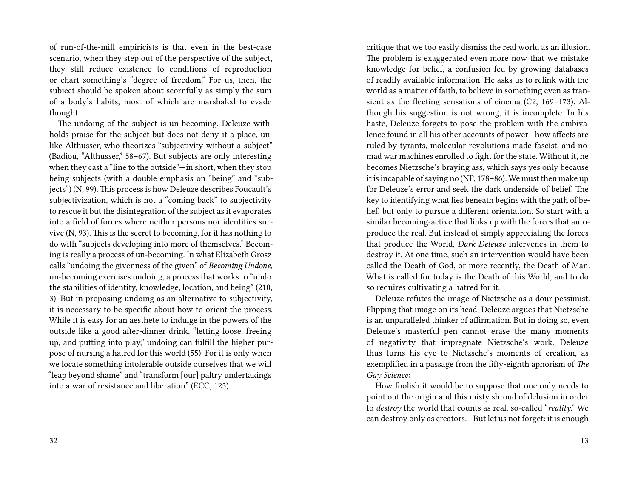of run-of-the-mill empiricists is that even in the best-case scenario, when they step out of the perspective of the subject, they still reduce existence to conditions of reproduction or chart something's "degree of freedom." For us, then, the subject should be spoken about scornfully as simply the sum of a body's habits, most of which are marshaled to evade thought.

The undoing of the subject is un-becoming. Deleuze withholds praise for the subject but does not deny it a place, unlike Althusser, who theorizes "subjectivity without a subject" (Badiou, "Althusser," 58–67). But subjects are only interesting when they cast a "line to the outside"—in short, when they stop being subjects (with a double emphasis on "being" and "subjects") (N, 99). This process is how Deleuze describes Foucault's subjectivization, which is not a "coming back" to subjectivity to rescue it but the disintegration of the subject as it evaporates into a field of forces where neither persons nor identities survive (N, 93). This is the secret to becoming, for it has nothing to do with "subjects developing into more of themselves." Becoming is really a process of un-becoming. In what Elizabeth Grosz calls "undoing the givenness of the given" of *Becoming Undone,* un-becoming exercises undoing, a process that works to "undo the stabilities of identity, knowledge, location, and being" (210, 3). But in proposing undoing as an alternative to subjectivity, it is necessary to be specific about how to orient the process. While it is easy for an aesthete to indulge in the powers of the outside like a good after-dinner drink, "letting loose, freeing up, and putting into play," undoing can fulfill the higher purpose of nursing a hatred for this world (55). For it is only when we locate something intolerable outside ourselves that we will "leap beyond shame" and "transform [our] paltry undertakings into a war of resistance and liberation" (ECC, 125).

critique that we too easily dismiss the real world as an illusion. The problem is exaggerated even more now that we mistake knowledge for belief, a confusion fed by growing databases of readily available information. He asks us to relink with the world as a matter of faith, to believe in something even as transient as the fleeting sensations of cinema (C2, 169–173). Although his suggestion is not wrong, it is incomplete. In his haste, Deleuze forgets to pose the problem with the ambivalence found in all his other accounts of power—how affects are ruled by tyrants, molecular revolutions made fascist, and nomad war machines enrolled to fight for the state. Without it, he becomes Nietzsche's braying ass, which says yes only because it is incapable of saying no (NP, 178–86). We must then make up for Deleuze's error and seek the dark underside of belief. The key to identifying what lies beneath begins with the path of belief, but only to pursue a different orientation. So start with a similar becoming-active that links up with the forces that autoproduce the real. But instead of simply appreciating the forces that produce the World, *Dark Deleuze* intervenes in them to destroy it. At one time, such an intervention would have been called the Death of God, or more recently, the Death of Man. What is called for today is the Death of this World, and to do so requires cultivating a hatred for it.

Deleuze refutes the image of Nietzsche as a dour pessimist. Flipping that image on its head, Deleuze argues that Nietzsche is an unparalleled thinker of affirmation. But in doing so, even Deleuze's masterful pen cannot erase the many moments of negativity that impregnate Nietzsche's work. Deleuze thus turns his eye to Nietzsche's moments of creation, as exemplified in a passage from the fifty-eighth aphorism of *The Gay Science*:

How foolish it would be to suppose that one only needs to point out the origin and this misty shroud of delusion in order to *destroy* the world that counts as real, so-called "*reality*." We can destroy only as creators.—But let us not forget: it is enough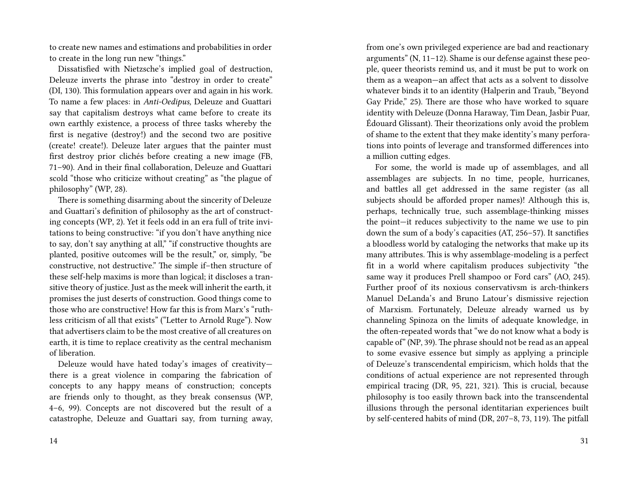to create new names and estimations and probabilities in order to create in the long run new "things."

Dissatisfied with Nietzsche's implied goal of destruction, Deleuze inverts the phrase into "destroy in order to create" (DI, 130). This formulation appears over and again in his work. To name a few places: in *Anti-Oedipus,* Deleuze and Guattari say that capitalism destroys what came before to create its own earthly existence, a process of three tasks whereby the first is negative (destroy!) and the second two are positive (create! create!). Deleuze later argues that the painter must first destroy prior clichés before creating a new image (FB, 71–90). And in their final collaboration, Deleuze and Guattari scold "those who criticize without creating" as "the plague of philosophy" (WP, 28).

There is something disarming about the sincerity of Deleuze and Guattari's definition of philosophy as the art of constructing concepts (WP, 2). Yet it feels odd in an era full of trite invitations to being constructive: "if you don't have anything nice to say, don't say anything at all," "if constructive thoughts are planted, positive outcomes will be the result," or, simply, "be constructive, not destructive." The simple if–then structure of these self-help maxims is more than logical; it discloses a transitive theory of justice. Just as the meek will inherit the earth, it promises the just deserts of construction. Good things come to those who are constructive! How far this is from Marx's "ruthless criticism of all that exists" ("Letter to Arnold Ruge"). Now that advertisers claim to be the most creative of all creatures on earth, it is time to replace creativity as the central mechanism of liberation.

Deleuze would have hated today's images of creativity there is a great violence in comparing the fabrication of concepts to any happy means of construction; concepts are friends only to thought, as they break consensus (WP, 4–6, 99). Concepts are not discovered but the result of a catastrophe, Deleuze and Guattari say, from turning away, from one's own privileged experience are bad and reactionary arguments" (N, 11–12). Shame is our defense against these people, queer theorists remind us, and it must be put to work on them as a weapon—an affect that acts as a solvent to dissolve whatever binds it to an identity (Halperin and Traub, "Beyond Gay Pride," 25). There are those who have worked to square identity with Deleuze (Donna Haraway, Tim Dean, Jasbir Puar, Édouard Glissant). Their theorizations only avoid the problem of shame to the extent that they make identity's many perforations into points of leverage and transformed differences into a million cutting edges.

For some, the world is made up of assemblages, and all assemblages are subjects. In no time, people, hurricanes, and battles all get addressed in the same register (as all subjects should be afforded proper names)! Although this is, perhaps, technically true, such assemblage-thinking misses the point—it reduces subjectivity to the name we use to pin down the sum of a body's capacities (AT, 256–57). It sanctifies a bloodless world by cataloging the networks that make up its many attributes. This is why assemblage-modeling is a perfect fit in a world where capitalism produces subjectivity "the same way it produces Prell shampoo or Ford cars" (AO, 245). Further proof of its noxious conservativsm is arch-thinkers Manuel DeLanda's and Bruno Latour's dismissive rejection of Marxism. Fortunately, Deleuze already warned us by channeling Spinoza on the limits of adequate knowledge, in the often-repeated words that "we do not know what a body is capable of" (NP, 39). The phrase should not be read as an appeal to some evasive essence but simply as applying a principle of Deleuze's transcendental empiricism, which holds that the conditions of actual experience are not represented through empirical tracing (DR, 95, 221, 321). This is crucial, because philosophy is too easily thrown back into the transcendental illusions through the personal identitarian experiences built by self-centered habits of mind (DR, 207–8, 73, 119). The pitfall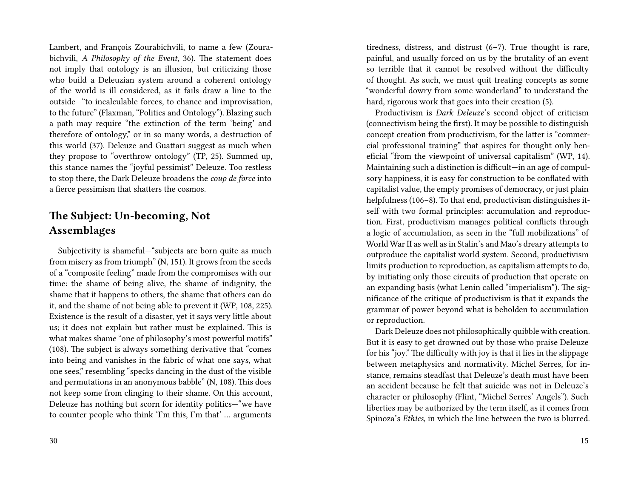Lambert, and François Zourabichvili, to name a few (Zourabichvili, *A Philosophy of the Event,* 36). The statement does not imply that ontology is an illusion, but criticizing those who build a Deleuzian system around a coherent ontology of the world is ill considered, as it fails draw a line to the outside—"to incalculable forces, to chance and improvisation, to the future" (Flaxman, "Politics and Ontology"). Blazing such a path may require "the extinction of the term 'being' and therefore of ontology," or in so many words, a destruction of this world (37). Deleuze and Guattari suggest as much when they propose to "overthrow ontology" (TP, 25). Summed up, this stance names the "joyful pessimist" Deleuze. Too restless to stop there, the Dark Deleuze broadens the *coup de force* into a fierce pessimism that shatters the cosmos.

### **The Subject: Un-becoming, Not Assemblages**

Subjectivity is shameful—"subjects are born quite as much from misery as from triumph" (N, 151). It grows from the seeds of a "composite feeling" made from the compromises with our time: the shame of being alive, the shame of indignity, the shame that it happens to others, the shame that others can do it, and the shame of not being able to prevent it (WP, 108, 225). Existence is the result of a disaster, yet it says very little about us; it does not explain but rather must be explained. This is what makes shame "one of philosophy's most powerful motifs" (108). The subject is always something derivative that "comes into being and vanishes in the fabric of what one says, what one sees," resembling "specks dancing in the dust of the visible and permutations in an anonymous babble" (N, 108). This does not keep some from clinging to their shame. On this account, Deleuze has nothing but scorn for identity politics—"we have to counter people who think 'I'm this, I'm that' … arguments

tiredness, distress, and distrust (6–7). True thought is rare, painful, and usually forced on us by the brutality of an event so terrible that it cannot be resolved without the difficulty of thought. As such, we must quit treating concepts as some "wonderful dowry from some wonderland" to understand the hard, rigorous work that goes into their creation (5).

Productivism is *Dark Deleuze*'s second object of criticism (connectivism being the first). It may be possible to distinguish concept creation from productivism, for the latter is "commercial professional training" that aspires for thought only beneficial "from the viewpoint of universal capitalism" (WP, 14). Maintaining such a distinction is difficult—in an age of compulsory happiness, it is easy for construction to be conflated with capitalist value, the empty promises of democracy, or just plain helpfulness (106–8). To that end, productivism distinguishes itself with two formal principles: accumulation and reproduction. First, productivism manages political conflicts through a logic of accumulation, as seen in the "full mobilizations" of World War II as well as in Stalin's and Mao's dreary attempts to outproduce the capitalist world system. Second, productivism limits production to reproduction, as capitalism attempts to do, by initiating only those circuits of production that operate on an expanding basis (what Lenin called "imperialism"). The significance of the critique of productivism is that it expands the grammar of power beyond what is beholden to accumulation or reproduction.

Dark Deleuze does not philosophically quibble with creation. But it is easy to get drowned out by those who praise Deleuze for his "joy." The difficulty with joy is that it lies in the slippage between metaphysics and normativity. Michel Serres, for instance, remains steadfast that Deleuze's death must have been an accident because he felt that suicide was not in Deleuze's character or philosophy (Flint, "Michel Serres' Angels"). Such liberties may be authorized by the term itself, as it comes from Spinoza's *Ethics,* in which the line between the two is blurred.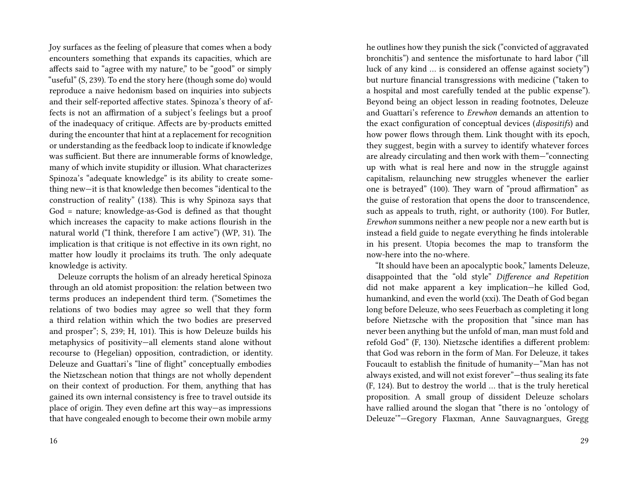Joy surfaces as the feeling of pleasure that comes when a body encounters something that expands its capacities, which are affects said to "agree with my nature," to be "good" or simply "useful" (S, 239). To end the story here (though some do) would reproduce a naive hedonism based on inquiries into subjects and their self-reported affective states. Spinoza's theory of affects is not an affirmation of a subject's feelings but a proof of the inadequacy of critique. Affects are by-products emitted during the encounter that hint at a replacement for recognition or understanding as the feedback loop to indicate if knowledge was sufficient. But there are innumerable forms of knowledge, many of which invite stupidity or illusion. What characterizes Spinoza's "adequate knowledge" is its ability to create something new—it is that knowledge then becomes "identical to the construction of reality" (138). This is why Spinoza says that God = nature; knowledge-as-God is defined as that thought which increases the capacity to make actions flourish in the natural world ("I think, therefore I am active") (WP, 31). The implication is that critique is not effective in its own right, no matter how loudly it proclaims its truth. The only adequate knowledge is activity.

Deleuze corrupts the holism of an already heretical Spinoza through an old atomist proposition: the relation between two terms produces an independent third term. ("Sometimes the relations of two bodies may agree so well that they form a third relation within which the two bodies are preserved and prosper"; S, 239; H, 101). This is how Deleuze builds his metaphysics of positivity—all elements stand alone without recourse to (Hegelian) opposition, contradiction, or identity. Deleuze and Guattari's "line of flight" conceptually embodies the Nietzschean notion that things are not wholly dependent on their context of production. For them, anything that has gained its own internal consistency is free to travel outside its place of origin. They even define art this way—as impressions that have congealed enough to become their own mobile army

he outlines how they punish the sick ("convicted of aggravated bronchitis") and sentence the misfortunate to hard labor ("ill luck of any kind … is considered an offense against society") but nurture financial transgressions with medicine ("taken to a hospital and most carefully tended at the public expense"). Beyond being an object lesson in reading footnotes, Deleuze and Guattari's reference to *Erewhon* demands an attention to the exact configuration of conceptual devices (*dispositifs*) and how power flows through them. Link thought with its epoch, they suggest, begin with a survey to identify whatever forces are already circulating and then work with them—"connecting up with what is real here and now in the struggle against capitalism, relaunching new struggles whenever the earlier one is betrayed" (100). They warn of "proud affirmation" as the guise of restoration that opens the door to transcendence, such as appeals to truth, right, or authority (100). For Butler, *Erewhon* summons neither a new people nor a new earth but is instead a field guide to negate everything he finds intolerable in his present. Utopia becomes the map to transform the now-here into the no-where.

"It should have been an apocalyptic book," laments Deleuze, disappointed that the "old style" *Difference and Repetition* did not make apparent a key implication—he killed God, humankind, and even the world (xxi). The Death of God began long before Deleuze, who sees Feuerbach as completing it long before Nietzsche with the proposition that "since man has never been anything but the unfold of man, man must fold and refold God" (F, 130). Nietzsche identifies a different problem: that God was reborn in the form of Man. For Deleuze, it takes Foucault to establish the finitude of humanity—"Man has not always existed, and will not exist forever"—thus sealing its fate (F, 124). But to destroy the world … that is the truly heretical proposition. A small group of dissident Deleuze scholars have rallied around the slogan that "there is no 'ontology of Deleuze'"—Gregory Flaxman, Anne Sauvagnargues, Gregg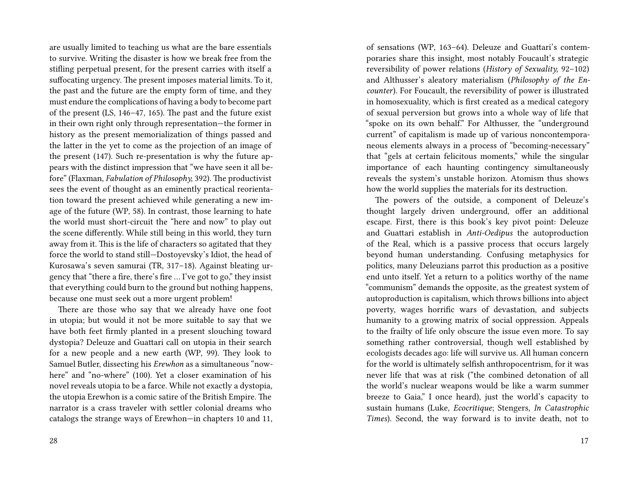are usually limited to teaching us what are the bare essentials to survive. Writing the disaster is how we break free from the stifling perpetual present, for the present carries with itself a suffocating urgency. The present imposes material limits. To it, the past and the future are the empty form of time, and they must endure the complications of having a body to become part of the present (LS, 146–47, 165). The past and the future exist in their own right only through representation—the former in history as the present memorialization of things passed and the latter in the yet to come as the projection of an image of the present (147). Such re-presentation is why the future appears with the distinct impression that "we have seen it all before" (Flaxman, *Fabulation of Philosophy,* 392). The productivist sees the event of thought as an eminently practical reorientation toward the present achieved while generating a new image of the future (WP, 58). In contrast, those learning to hate the world must short-circuit the "here and now" to play out the scene differently. While still being in this world, they turn away from it. This is the life of characters so agitated that they force the world to stand still—Dostoyevsky's Idiot, the head of Kurosawa's seven samurai (TR, 317–18). Against bleating urgency that "there a fire, there's fire … I've got to go," they insist that everything could burn to the ground but nothing happens, because one must seek out a more urgent problem!

There are those who say that we already have one foot in utopia; but would it not be more suitable to say that we have both feet firmly planted in a present slouching toward dystopia? Deleuze and Guattari call on utopia in their search for a new people and a new earth (WP, 99). They look to Samuel Butler, dissecting his *Erewhon* as a simultaneous "nowhere" and "no-where" (100). Yet a closer examination of his novel reveals utopia to be a farce. While not exactly a dystopia, the utopia Erewhon is a comic satire of the British Empire. The narrator is a crass traveler with settler colonial dreams who catalogs the strange ways of Erewhon—in chapters 10 and 11,

of sensations (WP, 163–64). Deleuze and Guattari's contemporaries share this insight, most notably Foucault's strategic reversibility of power relations (*History of Sexuality,* 92–102) and Althusser's aleatory materialism (*Philosophy of the Encounter*). For Foucault, the reversibility of power is illustrated in homosexuality, which is first created as a medical category of sexual perversion but grows into a whole way of life that "spoke on its own behalf." For Althusser, the "underground current" of capitalism is made up of various noncontemporaneous elements always in a process of "becoming-necessary" that "gels at certain felicitous moments," while the singular importance of each haunting contingency simultaneously reveals the system's unstable horizon. Atomism thus shows how the world supplies the materials for its destruction.

The powers of the outside, a component of Deleuze's thought largely driven underground, offer an additional escape. First, there is this book's key pivot point: Deleuze and Guattari establish in *Anti-Oedipus* the autoproduction of the Real, which is a passive process that occurs largely beyond human understanding. Confusing metaphysics for politics, many Deleuzians parrot this production as a positive end unto itself. Yet a return to a politics worthy of the name "communism" demands the opposite, as the greatest system of autoproduction is capitalism, which throws billions into abject poverty, wages horrific wars of devastation, and subjects humanity to a growing matrix of social oppression. Appeals to the frailty of life only obscure the issue even more. To say something rather controversial, though well established by ecologists decades ago: life will survive us. All human concern for the world is ultimately selfish anthropocentrism, for it was never life that was at risk ("the combined detonation of all the world's nuclear weapons would be like a warm summer breeze to Gaia," I once heard), just the world's capacity to sustain humans (Luke, *Ecocritique*; Stengers, *In Catastrophic Times*). Second, the way forward is to invite death, not to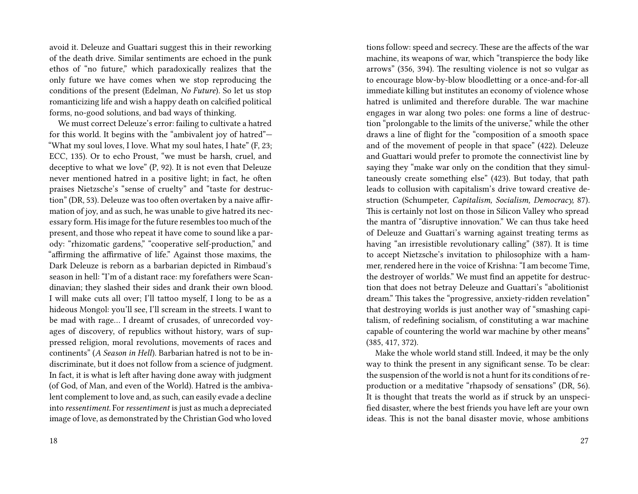avoid it. Deleuze and Guattari suggest this in their reworking of the death drive. Similar sentiments are echoed in the punk ethos of "no future," which paradoxically realizes that the only future we have comes when we stop reproducing the conditions of the present (Edelman, *No Future*). So let us stop romanticizing life and wish a happy death on calcified political forms, no-good solutions, and bad ways of thinking.

We must correct Deleuze's error: failing to cultivate a hatred for this world. It begins with the "ambivalent joy of hatred"— "What my soul loves, I love. What my soul hates, I hate" (F, 23; ECC, 135). Or to echo Proust, "we must be harsh, cruel, and deceptive to what we love" (P, 92). It is not even that Deleuze never mentioned hatred in a positive light; in fact, he often praises Nietzsche's "sense of cruelty" and "taste for destruction" (DR, 53). Deleuze was too often overtaken by a naive affirmation of joy, and as such, he was unable to give hatred its necessary form. His image for the future resembles too much of the present, and those who repeat it have come to sound like a parody: "rhizomatic gardens," "cooperative self-production," and "affirming the affirmative of life." Against those maxims, the Dark Deleuze is reborn as a barbarian depicted in Rimbaud's season in hell: "I'm of a distant race: my forefathers were Scandinavian; they slashed their sides and drank their own blood. I will make cuts all over; I'll tattoo myself, I long to be as a hideous Mongol: you'll see, I'll scream in the streets. I want to be mad with rage… I dreamt of crusades, of unrecorded voyages of discovery, of republics without history, wars of suppressed religion, moral revolutions, movements of races and continents" (*A Season in Hell*). Barbarian hatred is not to be indiscriminate, but it does not follow from a science of judgment. In fact, it is what is left after having done away with judgment (of God, of Man, and even of the World). Hatred is the ambivalent complement to love and, as such, can easily evade a decline into *ressentiment*. For*ressentiment* is just as much a depreciated image of love, as demonstrated by the Christian God who loved

tions follow: speed and secrecy. These are the affects of the war machine, its weapons of war, which "transpierce the body like arrows" (356, 394). The resulting violence is not so vulgar as to encourage blow-by-blow bloodletting or a once-and-for-all immediate killing but institutes an economy of violence whose hatred is unlimited and therefore durable. The war machine engages in war along two poles: one forms a line of destruction "prolongable to the limits of the universe," while the other draws a line of flight for the "composition of a smooth space and of the movement of people in that space" (422). Deleuze and Guattari would prefer to promote the connectivist line by saying they "make war only on the condition that they simultaneously create something else" (423). But today, that path leads to collusion with capitalism's drive toward creative destruction (Schumpeter, *Capitalism, Socialism, Democracy,* 87). This is certainly not lost on those in Silicon Valley who spread the mantra of "disruptive innovation." We can thus take heed of Deleuze and Guattari's warning against treating terms as having "an irresistible revolutionary calling" (387). It is time to accept Nietzsche's invitation to philosophize with a hammer, rendered here in the voice of Krishna: "I am become Time, the destroyer of worlds." We must find an appetite for destruction that does not betray Deleuze and Guattari's "abolitionist dream." This takes the "progressive, anxiety-ridden revelation" that destroying worlds is just another way of "smashing capitalism, of redefining socialism, of constituting a war machine capable of countering the world war machine by other means" (385, 417, 372).

Make the whole world stand still. Indeed, it may be the only way to think the present in any significant sense. To be clear: the suspension of the world is not a hunt for its conditions of reproduction or a meditative "rhapsody of sensations" (DR, 56). It is thought that treats the world as if struck by an unspecified disaster, where the best friends you have left are your own ideas. This is not the banal disaster movie, whose ambitions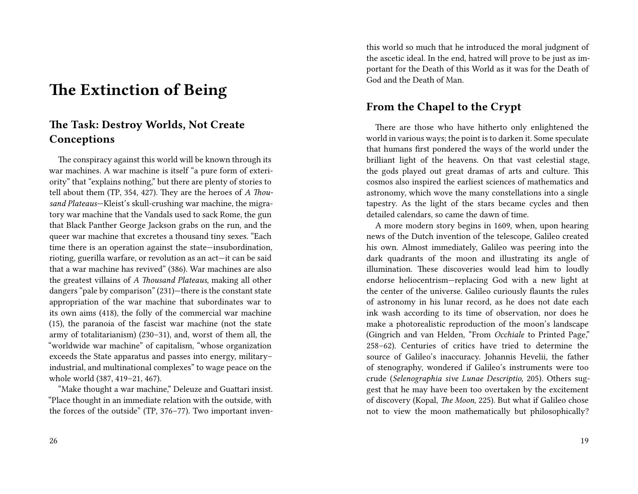## **The Extinction of Being**

## **The Task: Destroy Worlds, Not Create Conceptions**

The conspiracy against this world will be known through its war machines. A war machine is itself "a pure form of exteriority" that "explains nothing," but there are plenty of stories to tell about them (TP, 354, 427). They are the heroes of *A Thousand Plateaus*—Kleist's skull-crushing war machine, the migratory war machine that the Vandals used to sack Rome, the gun that Black Panther George Jackson grabs on the run, and the queer war machine that excretes a thousand tiny sexes. "Each time there is an operation against the state—insubordination, rioting, guerilla warfare, or revolution as an act—it can be said that a war machine has revived" (386). War machines are also the greatest villains of *A Thousand Plateaus,* making all other dangers "pale by comparison" (231)—there is the constant state appropriation of the war machine that subordinates war to its own aims (418), the folly of the commercial war machine (15), the paranoia of the fascist war machine (not the state army of totalitarianism) (230–31), and, worst of them all, the "worldwide war machine" of capitalism, "whose organization exceeds the State apparatus and passes into energy, military– industrial, and multinational complexes" to wage peace on the whole world (387, 419–21, 467).

"Make thought a war machine," Deleuze and Guattari insist. "Place thought in an immediate relation with the outside, with the forces of the outside" (TP, 376–77). Two important inventhis world so much that he introduced the moral judgment of the ascetic ideal. In the end, hatred will prove to be just as important for the Death of this World as it was for the Death of God and the Death of Man.

### **From the Chapel to the Crypt**

There are those who have hitherto only enlightened the world in various ways; the point is to darken it. Some speculate that humans first pondered the ways of the world under the brilliant light of the heavens. On that vast celestial stage, the gods played out great dramas of arts and culture. This cosmos also inspired the earliest sciences of mathematics and astronomy, which wove the many constellations into a single tapestry. As the light of the stars became cycles and then detailed calendars, so came the dawn of time.

A more modern story begins in 1609, when, upon hearing news of the Dutch invention of the telescope, Galileo created his own. Almost immediately, Galileo was peering into the dark quadrants of the moon and illustrating its angle of illumination. These discoveries would lead him to loudly endorse heliocentrism—replacing God with a new light at the center of the universe. Galileo curiously flaunts the rules of astronomy in his lunar record, as he does not date each ink wash according to its time of observation, nor does he make a photorealistic reproduction of the moon's landscape (Gingrich and van Helden, "From *Occhiale* to Printed Page," 258–62). Centuries of critics have tried to determine the source of Galileo's inaccuracy. Johannis Hevelii, the father of stenography, wondered if Galileo's instruments were too crude (*Selenographia sive Lunae Descriptio,* 205). Others suggest that he may have been too overtaken by the excitement of discovery (Kopal, *The Moon,* 225). But what if Galileo chose not to view the moon mathematically but philosophically?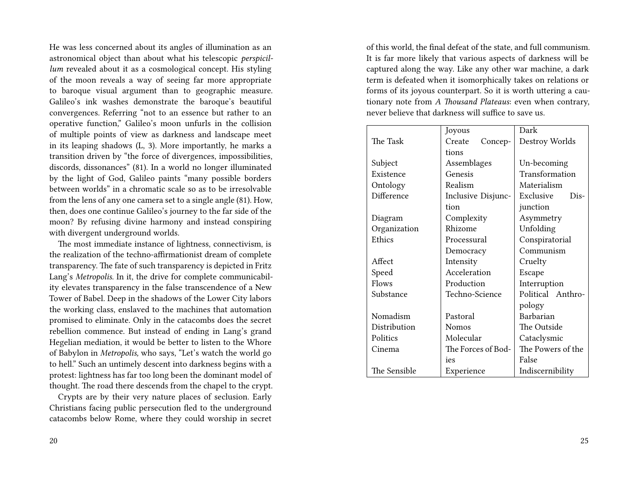He was less concerned about its angles of illumination as an astronomical object than about what his telescopic *perspicillum* revealed about it as a cosmological concept. His styling of the moon reveals a way of seeing far more appropriate to baroque visual argument than to geographic measure. Galileo's ink washes demonstrate the baroque's beautiful convergences. Referring "not to an essence but rather to an operative function," Galileo's moon unfurls in the collision of multiple points of view as darkness and landscape meet in its leaping shadows (L, 3). More importantly, he marks a transition driven by "the force of divergences, impossibilities, discords, dissonances" (81). In a world no longer illuminated by the light of God, Galileo paints "many possible borders between worlds" in a chromatic scale so as to be irresolvable from the lens of any one camera set to a single angle (81). How, then, does one continue Galileo's journey to the far side of the moon? By refusing divine harmony and instead conspiring with divergent underground worlds.

The most immediate instance of lightness, connectivism, is the realization of the techno-affirmationist dream of complete transparency. The fate of such transparency is depicted in Fritz Lang's *Metropolis*. In it, the drive for complete communicability elevates transparency in the false transcendence of a New Tower of Babel. Deep in the shadows of the Lower City labors the working class, enslaved to the machines that automation promised to eliminate. Only in the catacombs does the secret rebellion commence. But instead of ending in Lang's grand Hegelian mediation, it would be better to listen to the Whore of Babylon in *Metropolis,* who says, "Let's watch the world go to hell." Such an untimely descent into darkness begins with a protest: lightness has far too long been the dominant model of thought. The road there descends from the chapel to the crypt.

Crypts are by their very nature places of seclusion. Early Christians facing public persecution fled to the underground catacombs below Rome, where they could worship in secret of this world, the final defeat of the state, and full communism. It is far more likely that various aspects of darkness will be captured along the way. Like any other war machine, a dark term is defeated when it isomorphically takes on relations or forms of its joyous counterpart. So it is worth uttering a cautionary note from *A Thousand Plateaus*: even when contrary, never believe that darkness will suffice to save us.

|              | Joyous             |         | Dark              |
|--------------|--------------------|---------|-------------------|
| The Task     | Create             | Concep- | Destroy Worlds    |
|              | tions              |         |                   |
| Subject      | Assemblages        |         | Un-becoming       |
| Existence    | Genesis            |         | Transformation    |
| Ontology     | Realism            |         | Materialism       |
| Difference   | Inclusive Disjunc- |         | Exclusive<br>Dis- |
|              | tion               |         | junction          |
| Diagram      | Complexity         |         | Asymmetry         |
| Organization | Rhizome            |         | Unfolding         |
| Ethics       | Processural        |         | Conspiratorial    |
|              | Democracy          |         | Communism         |
| Affect       | Intensity          |         | Cruelty           |
| Speed        | Acceleration       |         | Escape            |
| Flows        | Production         |         | Interruption      |
| Substance    | Techno-Science     |         | Political Anthro- |
|              |                    |         | pology            |
| Nomadism     | Pastoral           |         | Barbarian         |
| Distribution | <b>Nomos</b>       |         | The Outside       |
| Politics     | Molecular          |         | Cataclysmic       |
| Cinema       | The Forces of Bod- |         | The Powers of the |
|              | ies                |         | False             |
| The Sensible | Experience         |         | Indiscernibility  |
|              |                    |         |                   |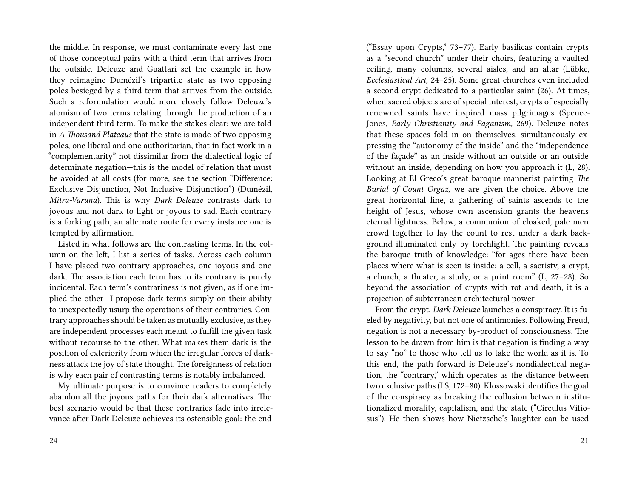the middle. In response, we must contaminate every last one of those conceptual pairs with a third term that arrives from the outside. Deleuze and Guattari set the example in how they reimagine Dumézil's tripartite state as two opposing poles besieged by a third term that arrives from the outside. Such a reformulation would more closely follow Deleuze's atomism of two terms relating through the production of an independent third term. To make the stakes clear: we are told in *A Thousand Plateaus* that the state is made of two opposing poles, one liberal and one authoritarian, that in fact work in a "complementarity" not dissimilar from the dialectical logic of determinate negation—this is the model of relation that must be avoided at all costs (for more, see the section "Difference: Exclusive Disjunction, Not Inclusive Disjunction") (Dumézil, *Mitra-Varuna*). This is why *Dark Deleuze* contrasts dark to joyous and not dark to light or joyous to sad. Each contrary is a forking path, an alternate route for every instance one is tempted by affirmation.

Listed in what follows are the contrasting terms. In the column on the left, I list a series of tasks. Across each column I have placed two contrary approaches, one joyous and one dark. The association each term has to its contrary is purely incidental. Each term's contrariness is not given, as if one implied the other—I propose dark terms simply on their ability to unexpectedly usurp the operations of their contraries. Contrary approaches should be taken as mutually exclusive, as they are independent processes each meant to fulfill the given task without recourse to the other. What makes them dark is the position of exteriority from which the irregular forces of darkness attack the joy of state thought. The foreignness of relation is why each pair of contrasting terms is notably imbalanced.

My ultimate purpose is to convince readers to completely abandon all the joyous paths for their dark alternatives. The best scenario would be that these contraries fade into irrelevance after Dark Deleuze achieves its ostensible goal: the end

("Essay upon Crypts," 73–77). Early basilicas contain crypts as a "second church" under their choirs, featuring a vaulted ceiling, many columns, several aisles, and an altar (Lübke, *Ecclesiastical Art,* 24–25). Some great churches even included a second crypt dedicated to a particular saint (26). At times, when sacred objects are of special interest, crypts of especially renowned saints have inspired mass pilgrimages (Spence-Jones, *Early Christianity and Paganism,* 269). Deleuze notes that these spaces fold in on themselves, simultaneously expressing the "autonomy of the inside" and the "independence of the façade" as an inside without an outside or an outside without an inside, depending on how you approach it (L, 28). Looking at El Greco's great baroque mannerist painting *The Burial of Count Orgaz,* we are given the choice. Above the great horizontal line, a gathering of saints ascends to the height of Jesus, whose own ascension grants the heavens eternal lightness. Below, a communion of cloaked, pale men crowd together to lay the count to rest under a dark background illuminated only by torchlight. The painting reveals the baroque truth of knowledge: "for ages there have been places where what is seen is inside: a cell, a sacristy, a crypt, a church, a theater, a study, or a print room" (L, 27–28). So beyond the association of crypts with rot and death, it is a projection of subterranean architectural power.

From the crypt, *Dark Deleuze* launches a conspiracy. It is fueled by negativity, but not one of antimonies. Following Freud, negation is not a necessary by-product of consciousness. The lesson to be drawn from him is that negation is finding a way to say "no" to those who tell us to take the world as it is. To this end, the path forward is Deleuze's nondialectical negation, the "contrary," which operates as the distance between two exclusive paths (LS, 172–80). Klossowski identifies the goal of the conspiracy as breaking the collusion between institutionalized morality, capitalism, and the state ("Circulus Vitiosus"). He then shows how Nietzsche's laughter can be used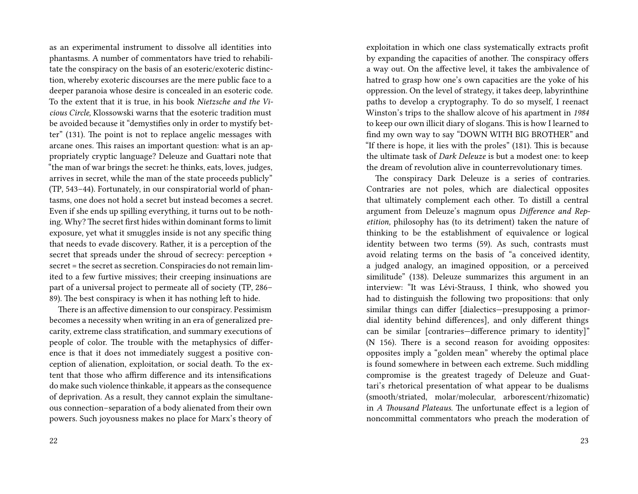as an experimental instrument to dissolve all identities into phantasms. A number of commentators have tried to rehabilitate the conspiracy on the basis of an esoteric/exoteric distinction, whereby exoteric discourses are the mere public face to a deeper paranoia whose desire is concealed in an esoteric code. To the extent that it is true, in his book *Nietzsche and the Vicious Circle,* Klossowski warns that the esoteric tradition must be avoided because it "demystifies only in order to mystify better" (131). The point is not to replace angelic messages with arcane ones. This raises an important question: what is an appropriately cryptic language? Deleuze and Guattari note that "the man of war brings the secret: he thinks, eats, loves, judges, arrives in secret, while the man of the state proceeds publicly" (TP, 543–44). Fortunately, in our conspiratorial world of phantasms, one does not hold a secret but instead becomes a secret. Even if she ends up spilling everything, it turns out to be nothing. Why? The secret first hides within dominant forms to limit exposure, yet what it smuggles inside is not any specific thing that needs to evade discovery. Rather, it is a perception of the secret that spreads under the shroud of secrecy: perception + secret = the secret as secretion. Conspiracies do not remain limited to a few furtive missives; their creeping insinuations are part of a universal project to permeate all of society (TP, 286– 89). The best conspiracy is when it has nothing left to hide.

There is an affective dimension to our conspiracy. Pessimism becomes a necessity when writing in an era of generalized precarity, extreme class stratification, and summary executions of people of color. The trouble with the metaphysics of difference is that it does not immediately suggest a positive conception of alienation, exploitation, or social death. To the extent that those who affirm difference and its intensifications do make such violence thinkable, it appears as the consequence of deprivation. As a result, they cannot explain the simultaneous connection–separation of a body alienated from their own powers. Such joyousness makes no place for Marx's theory of

exploitation in which one class systematically extracts profit by expanding the capacities of another. The conspiracy offers a way out. On the affective level, it takes the ambivalence of hatred to grasp how one's own capacities are the yoke of his oppression. On the level of strategy, it takes deep, labyrinthine paths to develop a cryptography. To do so myself, I reenact Winston's trips to the shallow alcove of his apartment in *1984* to keep our own illicit diary of slogans. This is how I learned to find my own way to say "DOWN WITH BIG BROTHER" and "If there is hope, it lies with the proles" (181). This is because the ultimate task of *Dark Deleuze* is but a modest one: to keep the dream of revolution alive in counterrevolutionary times.

The conspiracy Dark Deleuze is a series of contraries. Contraries are not poles, which are dialectical opposites that ultimately complement each other. To distill a central argument from Deleuze's magnum opus *Difference and Repetition,* philosophy has (to its detriment) taken the nature of thinking to be the establishment of equivalence or logical identity between two terms (59). As such, contrasts must avoid relating terms on the basis of "a conceived identity, a judged analogy, an imagined opposition, or a perceived similitude" (138). Deleuze summarizes this argument in an interview: "It was Lévi-Strauss, I think, who showed you had to distinguish the following two propositions: that only similar things can differ [dialectics—presupposing a primordial identity behind differences], and only different things can be similar [contraries—difference primary to identity]" (N 156). There is a second reason for avoiding opposites: opposites imply a "golden mean" whereby the optimal place is found somewhere in between each extreme. Such middling compromise is the greatest tragedy of Deleuze and Guattari's rhetorical presentation of what appear to be dualisms (smooth/striated, molar/molecular, arborescent/rhizomatic) in *A Thousand Plateaus*. The unfortunate effect is a legion of noncommittal commentators who preach the moderation of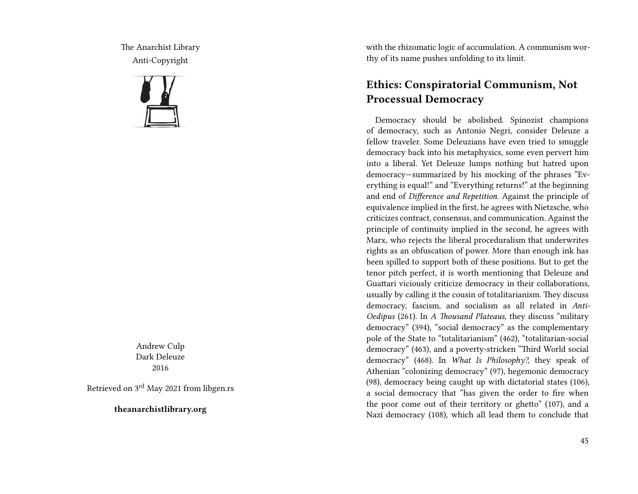The Anarchist Library Anti-Copyright



Andrew Culp Dark Deleuze 2016

Retrieved on 3rd May 2021 from libgen.rs

**theanarchistlibrary.org**

with the rhizomatic logic of accumulation. A communism worthy of its name pushes unfolding to its limit.

## **Ethics: Conspiratorial Communism, Not Processual Democracy**

Democracy should be abolished. Spinozist champions of democracy, such as Antonio Negri, consider Deleuze a fellow traveler. Some Deleuzians have even tried to smuggle democracy back into his metaphysics, some even pervert him into a liberal. Yet Deleuze lumps nothing but hatred upon democracy—summarized by his mocking of the phrases "Everything is equal!" and "Everything returns!" at the beginning and end of *Difference and Repetition*. Against the principle of equivalence implied in the first, he agrees with Nietzsche, who criticizes contract, consensus, and communication. Against the principle of continuity implied in the second, he agrees with Marx, who rejects the liberal proceduralism that underwrites rights as an obfuscation of power. More than enough ink has been spilled to support both of these positions. But to get the tenor pitch perfect, it is worth mentioning that Deleuze and Guattari viciously criticize democracy in their collaborations, usually by calling it the cousin of totalitarianism. They discuss democracy, fascism, and socialism as all related in *Anti-Oedipus* (261). In *A Thousand Plateaus,* they discuss "military democracy" (394), "social democracy" as the complementary pole of the State to "totalitarianism" (462), "totalitarian-social democracy" (463), and a poverty-stricken "Third World social democracy" (468). In *What Is Philosophy?,* they speak of Athenian "colonizing democracy" (97), hegemonic democracy (98), democracy being caught up with dictatorial states (106), a social democracy that "has given the order to fire when the poor come out of their territory or ghetto" (107), and a Nazi democracy (108), which all lead them to conclude that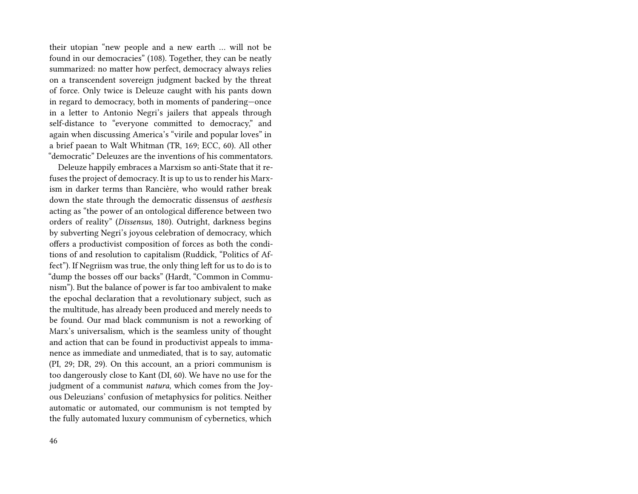their utopian "new people and a new earth … will not be found in our democracies" (108). Together, they can be neatly summarized: no matter how perfect, democracy always relies on a transcendent sovereign judgment backed by the threat of force. Only twice is Deleuze caught with his pants down in regard to democracy, both in moments of pandering—once in a letter to Antonio Negri's jailers that appeals through self-distance to "everyone committed to democracy," and again when discussing America's "virile and popular loves" in a brief paean to Walt Whitman (TR, 169; ECC, 60). All other "democratic" Deleuzes are the inventions of his commentators.

Deleuze happily embraces a Marxism so anti-State that it refuses the project of democracy. It is up to us to render his Marxism in darker terms than Rancière, who would rather break down the state through the democratic dissensus of *aesthesis* acting as "the power of an ontological difference between two orders of reality" (*Dissensus,* 180). Outright, darkness begins by subverting Negri's joyous celebration of democracy, which offers a productivist composition of forces as both the conditions of and resolution to capitalism (Ruddick, "Politics of Affect"). If Negriism was true, the only thing left for us to do is to "dump the bosses off our backs" (Hardt, "Common in Communism"). But the balance of power is far too ambivalent to make the epochal declaration that a revolutionary subject, such as the multitude, has already been produced and merely needs to be found. Our mad black communism is not a reworking of Marx's universalism, which is the seamless unity of thought and action that can be found in productivist appeals to immanence as immediate and unmediated, that is to say, automatic (PI, 29; DR, 29). On this account, an a priori communism is too dangerously close to Kant (DI, 60). We have no use for the judgment of a communist *natura,* which comes from the Joyous Deleuzians' confusion of metaphysics for politics. Neither automatic or automated, our communism is not tempted by the fully automated luxury communism of cybernetics, which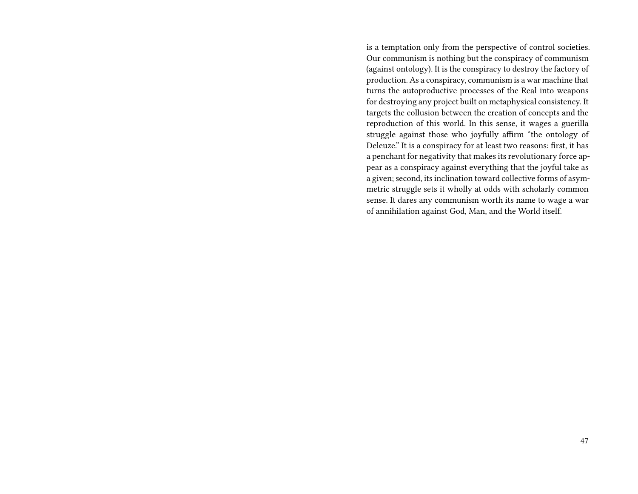is a temptation only from the perspective of control societies. Our communism is nothing but the conspiracy of communism (against ontology). It is the conspiracy to destroy the factory of production. As a conspiracy, communism is a war machine that turns the autoproductive processes of the Real into weapons for destroying any project built on metaphysical consistency. It targets the collusion between the creation of concepts and the reproduction of this world. In this sense, it wages a guerilla struggle against those who joyfully affirm "the ontology of Deleuze." It is a conspiracy for at least two reasons: first, it has a penchant for negativity that makes its revolutionary force appear as a conspiracy against everything that the joyful take as a given; second, its inclination toward collective forms of asymmetric struggle sets it wholly at odds with scholarly common sense. It dares any communism worth its name to wage a war of annihilation against God, Man, and the World itself.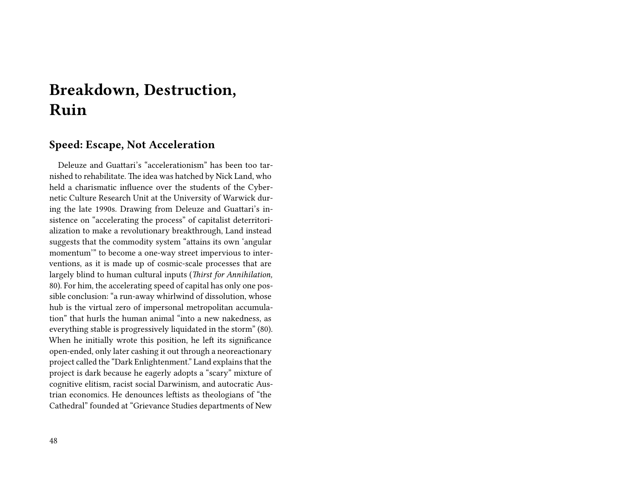# **Breakdown, Destruction, Ruin**

#### **Speed: Escape, Not Acceleration**

Deleuze and Guattari's "accelerationism" has been too tarnished to rehabilitate. The idea was hatched by Nick Land, who held a charismatic influence over the students of the Cybernetic Culture Research Unit at the University of Warwick during the late 1990s. Drawing from Deleuze and Guattari's insistence on "accelerating the process" of capitalist deterritorialization to make a revolutionary breakthrough, Land instead suggests that the commodity system "attains its own 'angular momentum'" to become a one-way street impervious to interventions, as it is made up of cosmic-scale processes that are largely blind to human cultural inputs (*Thirst for Annihilation,* 80). For him, the accelerating speed of capital has only one possible conclusion: "a run-away whirlwind of dissolution, whose hub is the virtual zero of impersonal metropolitan accumulation" that hurls the human animal "into a new nakedness, as everything stable is progressively liquidated in the storm" (80). When he initially wrote this position, he left its significance open-ended, only later cashing it out through a neoreactionary project called the "Dark Enlightenment." Land explains that the project is dark because he eagerly adopts a "scary" mixture of cognitive elitism, racist social Darwinism, and autocratic Austrian economics. He denounces leftists as theologians of "the Cathedral" founded at "Grievance Studies departments of New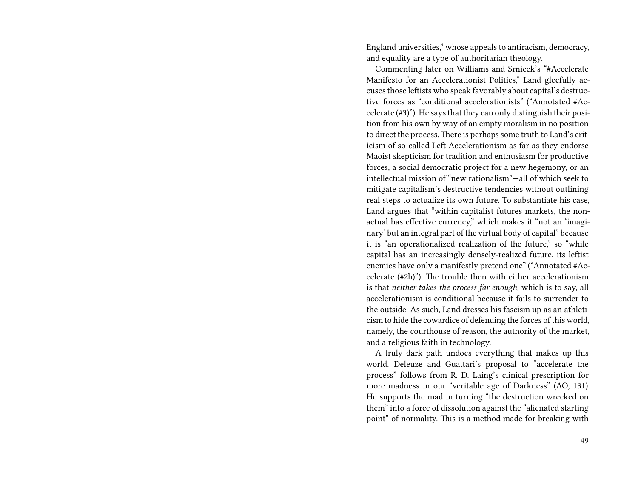England universities," whose appeals to antiracism, democracy, and equality are a type of authoritarian theology.

Commenting later on Williams and Srnicek's "#Accelerate Manifesto for an Accelerationist Politics," Land gleefully accuses those leftists who speak favorably about capital's destructive forces as "conditional accelerationists" ("Annotated #Accelerate (#3)"). He says that they can only distinguish their position from his own by way of an empty moralism in no position to direct the process. There is perhaps some truth to Land's criticism of so-called Left Accelerationism as far as they endorse Maoist skepticism for tradition and enthusiasm for productive forces, a social democratic project for a new hegemony, or an intellectual mission of "new rationalism"—all of which seek to mitigate capitalism's destructive tendencies without outlining real steps to actualize its own future. To substantiate his case, Land argues that "within capitalist futures markets, the nonactual has effective currency," which makes it "not an 'imaginary' but an integral part of the virtual body of capital" because it is "an operationalized realization of the future," so "while capital has an increasingly densely-realized future, its leftist enemies have only a manifestly pretend one" ("Annotated #Accelerate (#2b)"). The trouble then with either accelerationism is that *neither takes the process far enough,* which is to say, all accelerationism is conditional because it fails to surrender to the outside. As such, Land dresses his fascism up as an athleticism to hide the cowardice of defending the forces of this world, namely, the courthouse of reason, the authority of the market, and a religious faith in technology.

A truly dark path undoes everything that makes up this world. Deleuze and Guattari's proposal to "accelerate the process" follows from R. D. Laing's clinical prescription for more madness in our "veritable age of Darkness" (AO, 131). He supports the mad in turning "the destruction wrecked on them" into a force of dissolution against the "alienated starting point" of normality. This is a method made for breaking with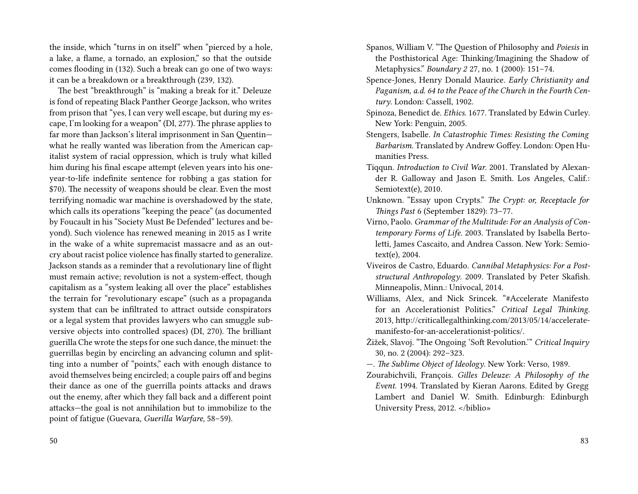the inside, which "turns in on itself" when "pierced by a hole, a lake, a flame, a tornado, an explosion," so that the outside comes flooding in (132). Such a break can go one of two ways: it can be a breakdown or a breakthrough (239, 132).

The best "breakthrough" is "making a break for it." Deleuze is fond of repeating Black Panther George Jackson, who writes from prison that "yes, I can very well escape, but during my escape, I'm looking for a weapon" (DI, 277). The phrase applies to far more than Jackson's literal imprisonment in San Quentin what he really wanted was liberation from the American capitalist system of racial oppression, which is truly what killed him during his final escape attempt (eleven years into his oneyear-to-life indefinite sentence for robbing a gas station for \$70). The necessity of weapons should be clear. Even the most terrifying nomadic war machine is overshadowed by the state, which calls its operations "keeping the peace" (as documented by Foucault in his "Society Must Be Defended" lectures and beyond). Such violence has renewed meaning in 2015 as I write in the wake of a white supremacist massacre and as an outcry about racist police violence has finally started to generalize. Jackson stands as a reminder that a revolutionary line of flight must remain active; revolution is not a system-effect, though capitalism as a "system leaking all over the place" establishes the terrain for "revolutionary escape" (such as a propaganda system that can be infiltrated to attract outside conspirators or a legal system that provides lawyers who can smuggle subversive objects into controlled spaces) (DI, 270). The brilliant guerilla Che wrote the steps for one such dance, the minuet: the guerrillas begin by encircling an advancing column and splitting into a number of "points," each with enough distance to avoid themselves being encircled; a couple pairs off and begins their dance as one of the guerrilla points attacks and draws out the enemy, after which they fall back and a different point attacks—the goal is not annihilation but to immobilize to the point of fatigue (Guevara, *Guerilla Warfare,* 58–59).

- Spanos, William V. "The Question of Philosophy and *Poiesis* in the Posthistorical Age: Thinking/Imagining the Shadow of Metaphysics." *Boundary 2* 27, no. 1 (2000): 151–74.
- Spence-Jones, Henry Donald Maurice. *Early Christianity and Paganism, a.d. 64 to the Peace of the Church in the Fourth Century*. London: Cassell, 1902.
- Spinoza, Benedict de. *Ethics*. 1677. Translated by Edwin Curley. New York: Penguin, 2005.
- Stengers, Isabelle. *In Catastrophic Times: Resisting the Coming Barbarism*. Translated by Andrew Goffey. London: Open Humanities Press.
- Tiqqun. *Introduction to Civil War*. 2001. Translated by Alexander R. Galloway and Jason E. Smith. Los Angeles, Calif.: Semiotext(e), 2010.
- Unknown. "Essay upon Crypts." *The Crypt: or, Receptacle for Things Past* 6 (September 1829): 73–77.
- Virno, Paolo. *Grammar of the Multitude: For an Analysis of Contemporary Forms of Life*. 2003. Translated by Isabella Bertoletti, James Cascaito, and Andrea Casson. New York: Semiotext(e), 2004.
- Viveiros de Castro, Eduardo. *Cannibal Metaphysics: For a Poststructural Anthropology*. 2009. Translated by Peter Skafish. Minneapolis, Minn.: Univocal, 2014.
- Williams, Alex, and Nick Srincek. "#Accelerate Manifesto for an Accelerationist Politics." *Critical Legal Thinking*. 2013, http://criticallegalthinking.com/2013/05/14/acceleratemanifesto-for-an-accelerationist-politics/.
- Žižek, Slavoj. "The Ongoing 'Soft Revolution.'" *Critical Inquiry* 30, no. 2 (2004): 292–323.
- —. *The Sublime Object of Ideology*. New York: Verso, 1989.
- Zourabichvili, François. *Gilles Deleuze: A Philosophy of the Event*. 1994. Translated by Kieran Aarons. Edited by Gregg Lambert and Daniel W. Smith. Edinburgh: Edinburgh University Press, 2012. </biblio»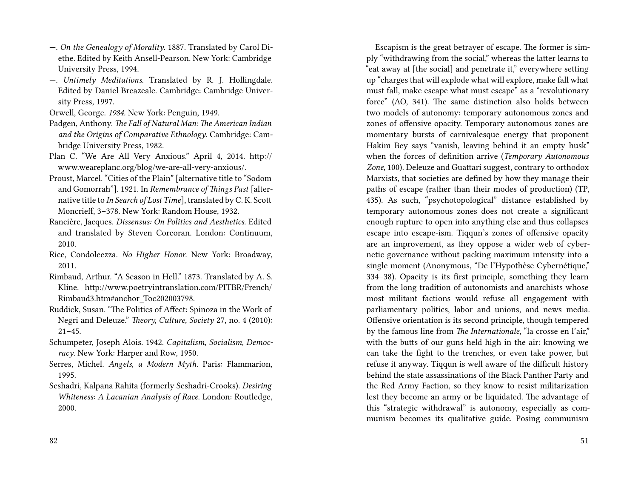- —. *On the Genealogy of Morality*. 1887. Translated by Carol Diethe. Edited by Keith Ansell-Pearson. New York: Cambridge University Press, 1994.
- —. *Untimely Meditations*. Translated by R. J. Hollingdale. Edited by Daniel Breazeale. Cambridge: Cambridge University Press, 1997.
- Orwell, George. *1984.* New York: Penguin, 1949.
- Padgen, Anthony. *The Fall of Natural Man: The American Indian and the Origins of Comparative Ethnology*. Cambridge: Cambridge University Press, 1982.
- Plan C. "We Are All Very Anxious." April 4, 2014. http:// www.weareplanc.org/blog/we-are-all-very-anxious/.
- Proust, Marcel. "Cities of the Plain" [alternative title to "Sodom and Gomorrah"]. 1921. In *Remembrance of Things Past* [alternative title to *In Search of Lost Time*], translated by C. K. Scott Moncrieff, 3–378. New York: Random House, 1932.
- Rancière, Jacques. *Dissensus: On Politics and Aesthetics*. Edited and translated by Steven Corcoran. London: Continuum, 2010.
- Rice, Condoleezza. *No Higher Honor*. New York: Broadway, 2011.
- Rimbaud, Arthur. "A Season in Hell." 1873. Translated by A. S. Kline. http://www.poetryintranslation.com/PITBR/French/ Rimbaud3.htm#anchor\_Toc202003798.
- Ruddick, Susan. "The Politics of Affect: Spinoza in the Work of Negri and Deleuze." *Theory, Culture, Society* 27, no. 4 (2010):  $21 - 45.$
- Schumpeter, Joseph Alois. 1942. *Capitalism, Socialism, Democracy*. New York: Harper and Row, 1950.
- Serres, Michel. *Angels, a Modern Myth*. Paris: Flammarion, 1995.
- Seshadri, Kalpana Rahita (formerly Seshadri-Crooks). *Desiring Whiteness: A Lacanian Analysis of Race*. London: Routledge, 2000.

Escapism is the great betrayer of escape. The former is simply "withdrawing from the social," whereas the latter learns to "eat away at [the social] and penetrate it," everywhere setting up "charges that will explode what will explore, make fall what must fall, make escape what must escape" as a "revolutionary force" (AO, 341). The same distinction also holds between two models of autonomy: temporary autonomous zones and zones of offensive opacity. Temporary autonomous zones are momentary bursts of carnivalesque energy that proponent Hakim Bey says "vanish, leaving behind it an empty husk" when the forces of definition arrive (*Temporary Autonomous Zone,* 100). Deleuze and Guattari suggest, contrary to orthodox Marxists, that societies are defined by how they manage their paths of escape (rather than their modes of production) (TP, 435). As such, "psychotopological" distance established by temporary autonomous zones does not create a significant enough rupture to open into anything else and thus collapses escape into escape-ism. Tiqqun's zones of offensive opacity are an improvement, as they oppose a wider web of cybernetic governance without packing maximum intensity into a single moment (Anonymous, "De l'Hypothèse Cybernétique," 334–38). Opacity is its first principle, something they learn from the long tradition of autonomists and anarchists whose most militant factions would refuse all engagement with parliamentary politics, labor and unions, and news media. Offensive orientation is its second principle, though tempered by the famous line from *The Internationale,* "la crosse en l'air," with the butts of our guns held high in the air: knowing we can take the fight to the trenches, or even take power, but refuse it anyway. Tiqqun is well aware of the difficult history behind the state assassinations of the Black Panther Party and the Red Army Faction, so they know to resist militarization lest they become an army or be liquidated. The advantage of this "strategic withdrawal" is autonomy, especially as communism becomes its qualitative guide. Posing communism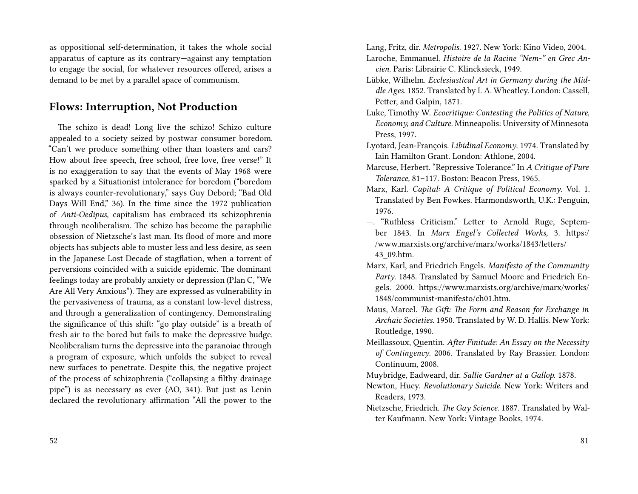as oppositional self-determination, it takes the whole social apparatus of capture as its contrary—against any temptation to engage the social, for whatever resources offered, arises a demand to be met by a parallel space of communism.

#### **Flows: Interruption, Not Production**

The schizo is dead! Long live the schizo! Schizo culture appealed to a society seized by postwar consumer boredom. "Can't we produce something other than toasters and cars? How about free speech, free school, free love, free verse!" It is no exaggeration to say that the events of May 1968 were sparked by a Situationist intolerance for boredom ("boredom is always counter-revolutionary," says Guy Debord; "Bad Old Days Will End," 36). In the time since the 1972 publication of *Anti-Oedipus,* capitalism has embraced its schizophrenia through neoliberalism. The schizo has become the paraphilic obsession of Nietzsche's last man. Its flood of more and more objects has subjects able to muster less and less desire, as seen in the Japanese Lost Decade of stagflation, when a torrent of perversions coincided with a suicide epidemic. The dominant feelings today are probably anxiety or depression (Plan C, "We Are All Very Anxious"). They are expressed as vulnerability in the pervasiveness of trauma, as a constant low-level distress, and through a generalization of contingency. Demonstrating the significance of this shift: "go play outside" is a breath of fresh air to the bored but fails to make the depressive budge. Neoliberalism turns the depressive into the paranoiac through a program of exposure, which unfolds the subject to reveal new surfaces to penetrate. Despite this, the negative project of the process of schizophrenia ("collapsing a filthy drainage pipe") is as necessary as ever (AO, 341). But just as Lenin declared the revolutionary affirmation "All the power to the

Lang, Fritz, dir. *Metropolis*. 1927. New York: Kino Video, 2004. Laroche, Emmanuel. *Histoire de la Racine "Nem-" en Grec Ancien*. Paris: Librairie C. Klincksieck, 1949.

- Lübke, Wilhelm. *Ecclesiastical Art in Germany during the Middle Ages*. 1852. Translated by I. A. Wheatley. London: Cassell, Petter, and Galpin, 1871.
- Luke, Timothy W. *Ecocritique: Contesting the Politics of Nature, Economy, and Culture*. Minneapolis: University of Minnesota Press, 1997.
- Lyotard, Jean-François. *Libidinal Economy*. 1974. Translated by Iain Hamilton Grant. London: Athlone, 2004.
- Marcuse, Herbert. "Repressive Tolerance." In *A Critique of Pure Tolerance,* 81–117. Boston: Beacon Press, 1965.
- Marx, Karl. *Capital: A Critique of Political Economy*. Vol. 1. Translated by Ben Fowkes. Harmondsworth, U.K.: Penguin, 1976.

—. "Ruthless Criticism." Letter to Arnold Ruge, September 1843. In *Marx Engel's Collected Works,* 3. https:/ /www.marxists.org/archive/marx/works/1843/letters/ 43\_09.htm.

- Marx, Karl, and Friedrich Engels. *Manifesto of the Community Party*. 1848. Translated by Samuel Moore and Friedrich Engels. 2000. https://www.marxists.org/archive/marx/works/ 1848/communist-manifesto/ch01.htm.
- Maus, Marcel. *The Gift: The Form and Reason for Exchange in Archaic Societies*. 1950. Translated by W. D. Hallis. New York: Routledge, 1990.
- Meillassoux, Quentin. *After Finitude: An Essay on the Necessity of Contingency*. 2006. Translated by Ray Brassier. London: Continuum, 2008.

Muybridge, Eadweard, dir. *Sallie Gardner at a Gallop*. 1878.

Newton, Huey. *Revolutionary Suicide*. New York: Writers and Readers, 1973.

Nietzsche, Friedrich. *The Gay Science*. 1887. Translated by Walter Kaufmann. New York: Vintage Books, 1974.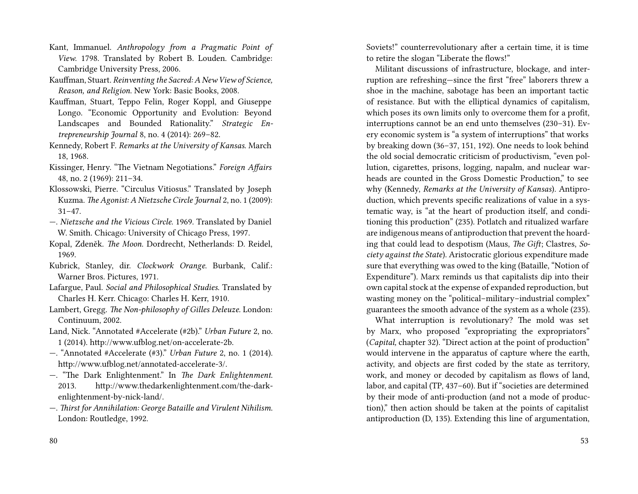- Kant, Immanuel. *Anthropology from a Pragmatic Point of View*. 1798. Translated by Robert B. Louden. Cambridge: Cambridge University Press, 2006.
- Kauffman, Stuart. *Reinventing the Sacred: A New View of Science, Reason, and Religion*. New York: Basic Books, 2008.
- Kauffman, Stuart, Teppo Felin, Roger Koppl, and Giuseppe Longo. "Economic Opportunity and Evolution: Beyond Landscapes and Bounded Rationality." *Strategic Entrepreneurship Journal* 8, no. 4 (2014): 269–82.
- Kennedy, Robert F. *Remarks at the University of Kansas*. March 18, 1968.
- Kissinger, Henry. "The Vietnam Negotiations." *Foreign Affairs* 48, no. 2 (1969): 211–34.
- Klossowski, Pierre. "Circulus Vitiosus." Translated by Joseph Kuzma. *The Agonist: A Nietzsche Circle Journal* 2, no. 1 (2009): 31–47.
- —. *Nietzsche and the Vicious Circle*. 1969. Translated by Daniel W. Smith. Chicago: University of Chicago Press, 1997.
- Kopal, Zdeněk. *The Moon*. Dordrecht, Netherlands: D. Reidel, 1969.
- Kubrick, Stanley, dir. *Clockwork Orange*. Burbank, Calif.: Warner Bros. Pictures, 1971.
- Lafargue, Paul. *Social and Philosophical Studies*. Translated by Charles H. Kerr. Chicago: Charles H. Kerr, 1910.
- Lambert, Gregg. *The Non-philosophy of Gilles Deleuze*. London: Continuum, 2002.
- Land, Nick. "Annotated #Accelerate (#2b)." *Urban Future* 2, no. 1 (2014). http://www.ufblog.net/on-accelerate-2b.
- —. "Annotated #Accelerate (#3)." *Urban Future* 2, no. 1 (2014). http://www.ufblog.net/annotated-accelerate-3/.
- —. "The Dark Enlightenment." In *The Dark Enlightenment*. 2013. http://www.thedarkenlightenment.com/the-darkenlightenment-by-nick-land/.
- —. *Thirst for Annihilation: George Bataille and Virulent Nihilism*. London: Routledge, 1992.

Soviets!" counterrevolutionary after a certain time, it is time to retire the slogan "Liberate the flows!"

Militant discussions of infrastructure, blockage, and interruption are refreshing—since the first "free" laborers threw a shoe in the machine, sabotage has been an important tactic of resistance. But with the elliptical dynamics of capitalism, which poses its own limits only to overcome them for a profit, interruptions cannot be an end unto themselves (230–31). Every economic system is "a system of interruptions" that works by breaking down (36–37, 151, 192). One needs to look behind the old social democratic criticism of productivism, "even pollution, cigarettes, prisons, logging, napalm, and nuclear warheads are counted in the Gross Domestic Production," to see why (Kennedy, *Remarks at the University of Kansas*). Antiproduction, which prevents specific realizations of value in a systematic way, is "at the heart of production itself, and conditioning this production" (235). Potlatch and ritualized warfare are indigenous means of antiproduction that prevent the hoarding that could lead to despotism (Maus, *The Gift*; Clastres, *Society against the State*). Aristocratic glorious expenditure made sure that everything was owed to the king (Bataille, "Notion of Expenditure"). Marx reminds us that capitalists dip into their own capital stock at the expense of expanded reproduction, but wasting money on the "political–military–industrial complex" guarantees the smooth advance of the system as a whole (235).

What interruption is revolutionary? The mold was set by Marx, who proposed "expropriating the expropriators" (*Capital,* chapter 32). "Direct action at the point of production" would intervene in the apparatus of capture where the earth, activity, and objects are first coded by the state as territory, work, and money or decoded by capitalism as flows of land, labor, and capital (TP, 437–60). But if "societies are determined by their mode of anti-production (and not a mode of production)," then action should be taken at the points of capitalist antiproduction (D, 135). Extending this line of argumentation,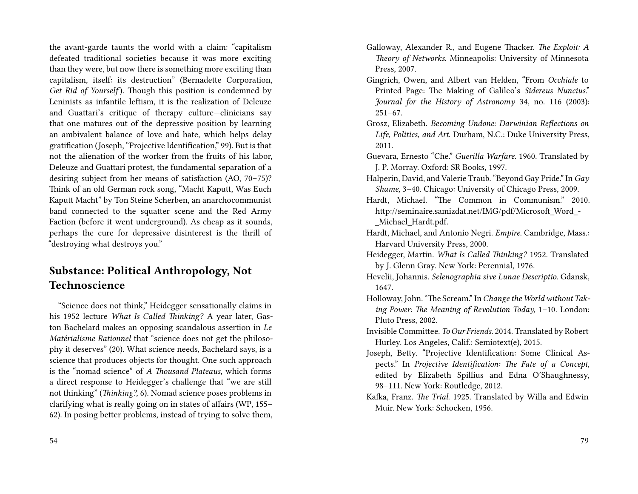the avant-garde taunts the world with a claim: "capitalism defeated traditional societies because it was more exciting than they were, but now there is something more exciting than capitalism, itself: its destruction" (Bernadette Corporation, *Get Rid of Yourself* ). Though this position is condemned by Leninists as infantile leftism, it is the realization of Deleuze and Guattari's critique of therapy culture—clinicians say that one matures out of the depressive position by learning an ambivalent balance of love and hate, which helps delay gratification (Joseph, "Projective Identification," 99). But is that not the alienation of the worker from the fruits of his labor, Deleuze and Guattari protest, the fundamental separation of a desiring subject from her means of satisfaction (AO, 70–75)? Think of an old German rock song, "Macht Kaputt, Was Euch Kaputt Macht" by Ton Steine Scherben, an anarchocommunist band connected to the squatter scene and the Red Army Faction (before it went underground). As cheap as it sounds, perhaps the cure for depressive disinterest is the thrill of "destroying what destroys you."

### **Substance: Political Anthropology, Not Technoscience**

"Science does not think," Heidegger sensationally claims in his 1952 lecture *What Is Called Thinking?* A year later, Gaston Bachelard makes an opposing scandalous assertion in *Le Matérialisme Rationnel* that "science does not get the philosophy it deserves" (20). What science needs, Bachelard says, is a science that produces objects for thought. One such approach is the "nomad science" of *A Thousand Plateaus,* which forms a direct response to Heidegger's challenge that "we are still not thinking" (*Thinking?,* 6). Nomad science poses problems in clarifying what is really going on in states of affairs (WP, 155– 62). In posing better problems, instead of trying to solve them,

- Galloway, Alexander R., and Eugene Thacker. *The Exploit: A Theory of Networks*. Minneapolis: University of Minnesota Press, 2007.
- Gingrich, Owen, and Albert van Helden, "From *Occhiale* to Printed Page: The Making of Galileo's *Sidereus Nuncius*." *Journal for the History of Astronomy* 34, no. 116 (2003):  $251 - 67$ .
- Grosz, Elizabeth. *Becoming Undone: Darwinian Reflections on Life, Politics, and Art*. Durham, N.C.: Duke University Press, 2011.
- Guevara, Ernesto "Che." *Guerilla Warfare*. 1960. Translated by J. P. Morray. Oxford: SR Books, 1997.
- Halperin, David, and Valerie Traub. "Beyond Gay Pride." In *Gay Shame,* 3–40. Chicago: University of Chicago Press, 2009.
- Hardt, Michael. "The Common in Communism." 2010. http://seminaire.samizdat.net/IMG/pdf/Microsoft\_Word\_- \_Michael\_Hardt.pdf.
- Hardt, Michael, and Antonio Negri. *Empire*. Cambridge, Mass.: Harvard University Press, 2000.
- Heidegger, Martin. *What Is Called Thinking?* 1952. Translated by J. Glenn Gray. New York: Perennial, 1976.
- Hevelii, Johannis. *Selenographia sive Lunae Descriptio*. Gdansk, 1647.
- Holloway, John. "The Scream." In *Change the World without Taking Power: The Meaning of Revolution Today,* 1–10. London: Pluto Press, 2002.
- Invisible Committee. *To Our Friends*. 2014. Translated by Robert Hurley. Los Angeles, Calif.: Semiotext(e), 2015.
- Joseph, Betty. "Projective Identification: Some Clinical Aspects." In *Projective Identification: The Fate of a Concept,* edited by Elizabeth Spillius and Edna O'Shaughnessy, 98–111. New York: Routledge, 2012.
- Kafka, Franz. *The Trial*. 1925. Translated by Willa and Edwin Muir. New York: Schocken, 1956.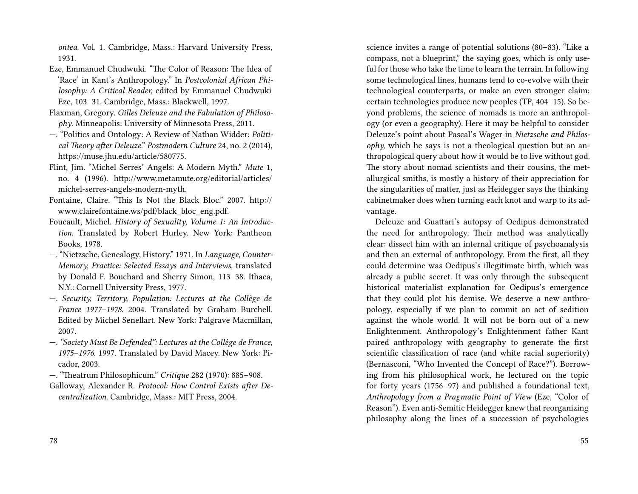*ontea*. Vol. 1. Cambridge, Mass.: Harvard University Press, 1931.

- Eze, Emmanuel Chudwuki. "The Color of Reason: The Idea of 'Race' in Kant's Anthropology." In *Postcolonial African Philosophy: A Critical Reader,* edited by Emmanuel Chudwuki Eze, 103–31. Cambridge, Mass.: Blackwell, 1997.
- Flaxman, Gregory. *Gilles Deleuze and the Fabulation of Philosophy*. Minneapolis: University of Minnesota Press, 2011.
- —. "Politics and Ontology: A Review of Nathan Widder: *Political Theory after Deleuze*." *Postmodern Culture* 24, no. 2 (2014), https://muse.jhu.edu/article/580775.
- Flint, Jim. "Michel Serres' Angels: A Modern Myth." *Mute* 1, no. 4 (1996). http://www.metamute.org/editorial/articles/ michel-serres-angels-modern-myth.
- Fontaine, Claire. "This Is Not the Black Bloc." 2007. http:// www.clairefontaine.ws/pdf/black\_bloc\_eng.pdf.
- Foucault, Michel. *History of Sexuality, Volume 1: An Introduction*. Translated by Robert Hurley. New York: Pantheon Books, 1978.
- —. "Nietzsche, Genealogy, History." 1971. In *Language, Counter-Memory, Practice: Selected Essays and Interviews,* translated by Donald F. Bouchard and Sherry Simon, 113–38. Ithaca, N.Y.: Cornell University Press, 1977.
- —. *Security, Territory, Population: Lectures at the Collège de France 1977–1978*. 2004. Translated by Graham Burchell. Edited by Michel Senellart. New York: Palgrave Macmillan, 2007.
- —. *"Society Must Be Defended": Lectures at the Collège de France, 1975–1976*. 1997. Translated by David Macey. New York: Picador, 2003.

—. "Theatrum Philosophicum." *Critique* 282 (1970): 885–908.

Galloway, Alexander R. *Protocol: How Control Exists after Decentralization*. Cambridge, Mass.: MIT Press, 2004.

science invites a range of potential solutions (80–83). "Like a compass, not a blueprint," the saying goes, which is only useful for those who take the time to learn the terrain. In following some technological lines, humans tend to co-evolve with their technological counterparts, or make an even stronger claim: certain technologies produce new peoples (TP, 404–15). So beyond problems, the science of nomads is more an anthropology (or even a geography). Here it may be helpful to consider Deleuze's point about Pascal's Wager in *Nietzsche and Philosophy,* which he says is not a theological question but an anthropological query about how it would be to live without god. The story about nomad scientists and their cousins, the metallurgical smiths, is mostly a history of their appreciation for the singularities of matter, just as Heidegger says the thinking cabinetmaker does when turning each knot and warp to its advantage.

Deleuze and Guattari's autopsy of Oedipus demonstrated the need for anthropology. Their method was analytically clear: dissect him with an internal critique of psychoanalysis and then an external of anthropology. From the first, all they could determine was Oedipus's illegitimate birth, which was already a public secret. It was only through the subsequent historical materialist explanation for Oedipus's emergence that they could plot his demise. We deserve a new anthropology, especially if we plan to commit an act of sedition against the whole world. It will not be born out of a new Enlightenment. Anthropology's Enlightenment father Kant paired anthropology with geography to generate the first scientific classification of race (and white racial superiority) (Bernasconi, "Who Invented the Concept of Race?"). Borrowing from his philosophical work, he lectured on the topic for forty years (1756–97) and published a foundational text, *Anthropology from a Pragmatic Point of View* (Eze, "Color of Reason"). Even anti-Semitic Heidegger knew that reorganizing philosophy along the lines of a succession of psychologies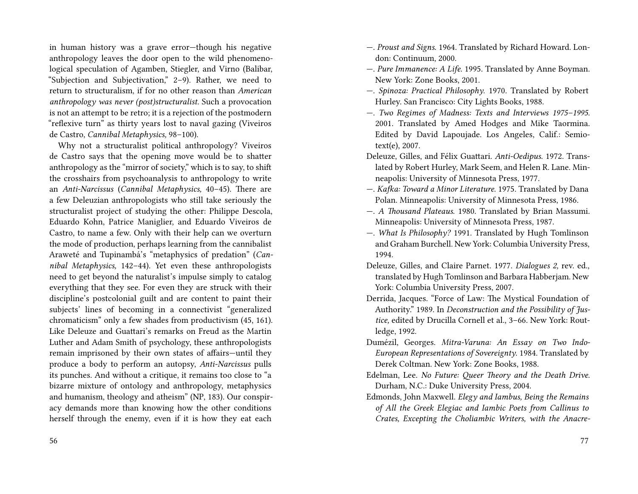in human history was a grave error—though his negative anthropology leaves the door open to the wild phenomenological speculation of Agamben, Stiegler, and Virno (Balibar, "Subjection and Subjectivation," 2–9). Rather, we need to return to structuralism, if for no other reason than *American anthropology was never (post)structuralist.* Such a provocation is not an attempt to be retro; it is a rejection of the postmodern "reflexive turn" as thirty years lost to naval gazing (Viveiros de Castro, *Cannibal Metaphysics,* 98–100).

Why not a structuralist political anthropology? Viveiros de Castro says that the opening move would be to shatter anthropology as the "mirror of society," which is to say, to shift the crosshairs from psychoanalysis to anthropology to write an *Anti-Narcissus* (*Cannibal Metaphysics,* 40–45). There are a few Deleuzian anthropologists who still take seriously the structuralist project of studying the other: Philippe Descola, Eduardo Kohn, Patrice Maniglier, and Eduardo Viveiros de Castro, to name a few. Only with their help can we overturn the mode of production, perhaps learning from the cannibalist Araweté and Tupinambá's "metaphysics of predation" (*Cannibal Metaphysics,* 142–44). Yet even these anthropologists need to get beyond the naturalist's impulse simply to catalog everything that they see. For even they are struck with their discipline's postcolonial guilt and are content to paint their subjects' lines of becoming in a connectivist "generalized chromaticism" only a few shades from productivism (45, 161). Like Deleuze and Guattari's remarks on Freud as the Martin Luther and Adam Smith of psychology, these anthropologists remain imprisoned by their own states of affairs—until they produce a body to perform an autopsy, *Anti-Narcissus* pulls its punches. And without a critique, it remains too close to "a bizarre mixture of ontology and anthropology, metaphysics and humanism, theology and atheism" (NP, 183). Our conspiracy demands more than knowing how the other conditions herself through the enemy, even if it is how they eat each

- —. *Proust and Signs*. 1964. Translated by Richard Howard. London: Continuum, 2000.
- —. *Pure Immanence: A Life*. 1995. Translated by Anne Boyman. New York: Zone Books, 2001.
- —. *Spinoza: Practical Philosophy*. 1970. Translated by Robert Hurley. San Francisco: City Lights Books, 1988.
- —. *Two Regimes of Madness: Texts and Interviews 1975–1995*. 2001. Translated by Amed Hodges and Mike Taormina. Edited by David Lapoujade. Los Angeles, Calif.: Semiotext(e), 2007.
- Deleuze, Gilles, and Félix Guattari. *Anti-Oedipus*. 1972. Translated by Robert Hurley, Mark Seem, and Helen R. Lane. Minneapolis: University of Minnesota Press, 1977.
- —. *Kafka: Toward a Minor Literature*. 1975. Translated by Dana Polan. Minneapolis: University of Minnesota Press, 1986.
- —. *A Thousand Plateaus*. 1980. Translated by Brian Massumi. Minneapolis: University of Minnesota Press, 1987.
- —. *What Is Philosophy?* 1991. Translated by Hugh Tomlinson and Graham Burchell. New York: Columbia University Press, 1994.
- Deleuze, Gilles, and Claire Parnet. 1977. *Dialogues 2,* rev. ed., translated by Hugh Tomlinson and Barbara Habberjam. New York: Columbia University Press, 2007.
- Derrida, Jacques. "Force of Law: The Mystical Foundation of Authority." 1989. In *Deconstruction and the Possibility of Justice,* edited by Drucilla Cornell et al., 3–66. New York: Routledge, 1992.
- Dumézil, Georges. *Mitra-Varuna: An Essay on Two Indo-European Representations of Sovereignty*. 1984. Translated by Derek Coltman. New York: Zone Books, 1988.
- Edelman, Lee. *No Future: Queer Theory and the Death Drive*. Durham, N.C.: Duke University Press, 2004.
- Edmonds, John Maxwell. *Elegy and Iambus, Being the Remains of All the Greek Elegiac and Iambic Poets from Callinus to Crates, Excepting the Choliambic Writers, with the Anacre-*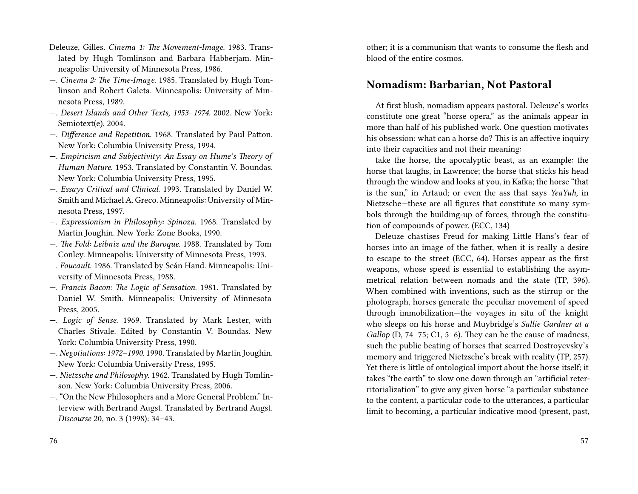- Deleuze, Gilles. *Cinema 1: The Movement-Image*. 1983. Translated by Hugh Tomlinson and Barbara Habberjam. Minneapolis: University of Minnesota Press, 1986.
- —. *Cinema 2: The Time-Image*. 1985. Translated by Hugh Tomlinson and Robert Galeta. Minneapolis: University of Minnesota Press, 1989.
- —. *Desert Islands and Other Texts, 1953–1974*. 2002. New York: Semiotext(e), 2004.
- —. *Difference and Repetition*. 1968. Translated by Paul Patton. New York: Columbia University Press, 1994.
- —. *Empiricism and Subjectivity: An Essay on Hume's Theory of Human Nature*. 1953. Translated by Constantin V. Boundas. New York: Columbia University Press, 1995.
- —. *Essays Critical and Clinical*. 1993. Translated by Daniel W. Smith and Michael A. Greco. Minneapolis: University of Minnesota Press, 1997.
- —. *Expressionism in Philosophy: Spinoza*. 1968. Translated by Martin Joughin. New York: Zone Books, 1990.
- —. *The Fold: Leibniz and the Baroque*. 1988. Translated by Tom Conley. Minneapolis: University of Minnesota Press, 1993.
- —. *Foucault*. 1986. Translated by Seán Hand. Minneapolis: University of Minnesota Press, 1988.
- —. *Francis Bacon: The Logic of Sensation*. 1981. Translated by Daniel W. Smith. Minneapolis: University of Minnesota Press, 2005.
- —. *Logic of Sense*. 1969. Translated by Mark Lester, with Charles Stivale. Edited by Constantin V. Boundas. New York: Columbia University Press, 1990.
- —. *Negotiations: 1972–1990*. 1990. Translated by Martin Joughin. New York: Columbia University Press, 1995.
- —. *Nietzsche and Philosophy*. 1962. Translated by Hugh Tomlinson. New York: Columbia University Press, 2006.
- —. "On the New Philosophers and a More General Problem." Interview with Bertrand Augst. Translated by Bertrand Augst. *Discourse* 20, no. 3 (1998): 34–43.

other; it is a communism that wants to consume the flesh and blood of the entire cosmos.

#### **Nomadism: Barbarian, Not Pastoral**

At first blush, nomadism appears pastoral. Deleuze's works constitute one great "horse opera," as the animals appear in more than half of his published work. One question motivates his obsession: what can a horse do? This is an affective inquiry into their capacities and not their meaning:

take the horse, the apocalyptic beast, as an example: the horse that laughs, in Lawrence; the horse that sticks his head through the window and looks at you, in Kafka; the horse "that is the sun," in Artaud; or even the ass that says *YeaYuh,* in Nietzsche—these are all figures that constitute so many symbols through the building-up of forces, through the constitution of compounds of power. (ECC, 134)

Deleuze chastises Freud for making Little Hans's fear of horses into an image of the father, when it is really a desire to escape to the street (ECC, 64). Horses appear as the first weapons, whose speed is essential to establishing the asymmetrical relation between nomads and the state (TP, 396). When combined with inventions, such as the stirrup or the photograph, horses generate the peculiar movement of speed through immobilization—the voyages in situ of the knight who sleeps on his horse and Muybridge's *Sallie Gardner at a Gallop* (D, 74–75; C1, 5–6). They can be the cause of madness, such the public beating of horses that scarred Dostroyevsky's memory and triggered Nietzsche's break with reality (TP, 257). Yet there is little of ontological import about the horse itself; it takes "the earth" to slow one down through an "artificial reterritorialization" to give any given horse "a particular substance to the content, a particular code to the utterances, a particular limit to becoming, a particular indicative mood (present, past,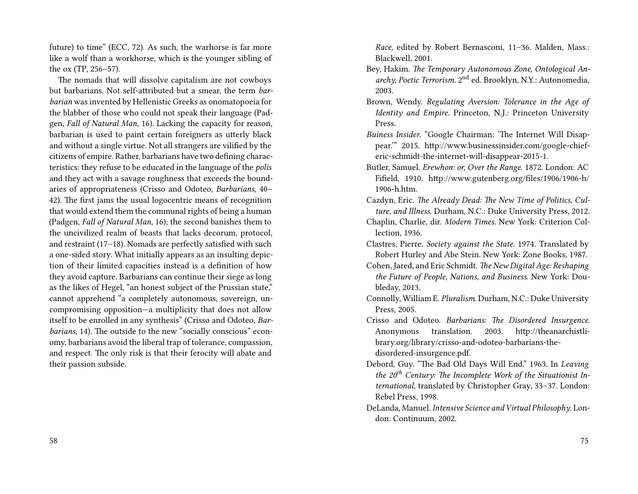future) to time" (ECC, 72). As such, the warhorse is far more like a wolf than a workhorse, which is the younger sibling of the ox (TP, 256–57).

The nomads that will dissolve capitalism are not cowboys but barbarians. Not self-attributed but a smear, the term *barbarian* was invented by Hellenistic Greeks as onomatopoeia for the blabber of those who could not speak their language (Padgen, *Fall of Natural Man,* 16). Lacking the capacity for reason, barbarian is used to paint certain foreigners as utterly black and without a single virtue. Not all strangers are vilified by the citizens of empire. Rather, barbarians have two defining characteristics: they refuse to be educated in the language of the *polis* and they act with a savage roughness that exceeds the boundaries of appropriateness (Crisso and Odoteo, *Barbarians,* 40– 42). The first jams the usual logocentric means of recognition that would extend them the communal rights of being a human (Padgen, *Fall of Natural Man,* 16); the second banishes them to the uncivilized realm of beasts that lacks decorum, protocol, and restraint (17–18). Nomads are perfectly satisfied with such a one-sided story. What initially appears as an insulting depiction of their limited capacities instead is a definition of how they avoid capture. Barbarians can continue their siege as long as the likes of Hegel, "an honest subject of the Prussian state," cannot apprehend "a completely autonomous, sovereign, uncompromising opposition—a multiplicity that does not allow itself to be enrolled in any synthesis" (Crisso and Odoteo, *Barbarians,* 14). The outside to the new "socially conscious" economy, barbarians avoid the liberal trap of tolerance, compassion, and respect. The only risk is that their ferocity will abate and their passion subside.

*Race,* edited by Robert Bernasconi, 11–36. Malden, Mass.: Blackwell, 2001.

- Bey, Hakim. *The Temporary Autonomous Zone, Ontological Anarchy, Poetic Terrorism*. 2nd ed. Brooklyn, N.Y.: Autonomedia, 2003.
- Brown, Wendy. *Regulating Aversion: Tolerance in the Age of Identity and Empire*. Princeton, N.J.: Princeton University Press.
- *Buiness Insider*. "Google Chairman: 'The Internet Will Disappear.'" 2015. http://www.businessinsider.com/google-chieferic-schmidt-the-internet-will-disappear-2015-1.
- Butler, Samuel. *Erewhon: or, Over the Range*. 1872. London: AC Fifield, 1910. http://www.gutenberg.org/files/1906/1906-h/ 1906-h.htm.
- Cazdyn, Eric. *The Already Dead: The New Time of Politics, Culture, and Illness*. Durham, N.C.: Duke University Press, 2012.
- Chaplin, Charlie, dir. *Modern Times*. New York: Criterion Collection, 1936.
- Clastres, Pierre. *Society against the State*. 1974. Translated by Robert Hurley and Abe Stein. New York: Zone Books, 1987.
- Cohen, Jared, and Eric Schmidt. *The New Digital Age: Reshaping the Future of People, Nations, and Business*. New York: Doubleday, 2013.
- Connolly, William E. *Pluralism*. Durham, N.C.: Duke University Press, 2005.
- Crisso and Odoteo. *Barbarians: The Disordered Insurgence*. Anonymous translation. 2003. http://theanarchistlibrary.org/library/crisso-and-odoteo-barbarians-thedisordered-insurgence.pdf.
- Debord, Guy. "The Bad Old Days Will End." 1963. In *Leaving the 20th Century: The Incomplete Work of the Situationist International,* translated by Christopher Gray, 33–37. London: Rebel Press, 1998.
- DeLanda, Manuel. *Intensive Science and Virtual Philosophy*. London: Continuum, 2002.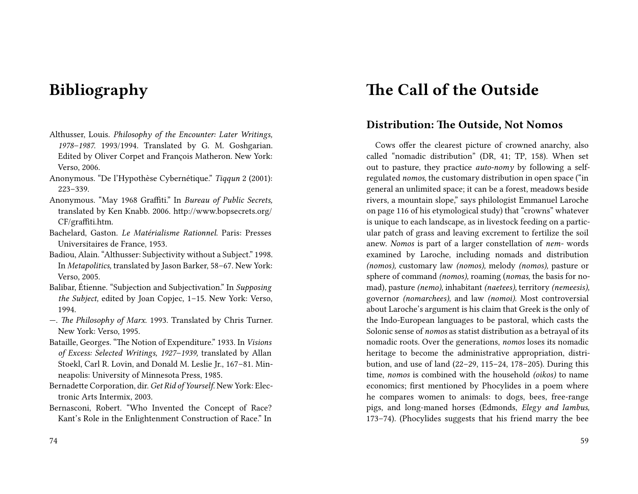# **Bibliography**

- Althusser, Louis. *Philosophy of the Encounter: Later Writings, 1978–1987*. 1993/1994. Translated by G. M. Goshgarian. Edited by Oliver Corpet and François Matheron. New York: Verso, 2006.
- Anonymous. "De l'Hypothèse Cybernétique." *Tiqqun* 2 (2001): 223–339.
- Anonymous. "May 1968 Graffiti." In *Bureau of Public Secrets,* translated by Ken Knabb. 2006. http://www.bopsecrets.org/ CF/graffiti.htm.
- Bachelard, Gaston. *Le Matérialisme Rationnel*. Paris: Presses Universitaires de France, 1953.
- Badiou, Alain. "Althusser: Subjectivity without a Subject." 1998. In *Metapolitics,* translated by Jason Barker, 58–67. New York: Verso, 2005.
- Balibar, Étienne. "Subjection and Subjectivation." In *Supposing the Subject,* edited by Joan Copjec, 1–15. New York: Verso, 1994.
- —. *The Philosophy of Marx*. 1993. Translated by Chris Turner. New York: Verso, 1995.
- Bataille, Georges. "The Notion of Expenditure." 1933. In *Visions of Excess: Selected Writings, 1927–1939,* translated by Allan Stoekl, Carl R. Lovin, and Donald M. Leslie Jr., 167–81. Minneapolis: University of Minnesota Press, 1985.
- Bernadette Corporation, dir. *Get Rid of Yourself*. New York: Electronic Arts Intermix, 2003.
- Bernasconi, Robert. "Who Invented the Concept of Race? Kant's Role in the Enlightenment Construction of Race." In

#### 74

# **The Call of the Outside**

#### **Distribution: The Outside, Not Nomos**

Cows offer the clearest picture of crowned anarchy, also called "nomadic distribution" (DR, 41; TP, 158). When set out to pasture, they practice *auto-nomy* by following a selfregulated *nomos,* the customary distribution in open space ("in general an unlimited space; it can be a forest, meadows beside rivers, a mountain slope," says philologist Emmanuel Laroche on page 116 of his etymological study) that "crowns" whatever is unique to each landscape, as in livestock feeding on a particular patch of grass and leaving excrement to fertilize the soil anew. *Nomos* is part of a larger constellation of *nem-* words examined by Laroche, including nomads and distribution *(nomos),* customary law *(nomos),* melody *(nomos),* pasture or sphere of command *(nomos),* roaming (*nomas,* the basis for nomad), pasture *(nemo),* inhabitant *(naetees),* territory *(nemeesis),* governor *(nomarchees),* and law *(nomoi).* Most controversial about Laroche's argument is his claim that Greek is the only of the Indo-European languages to be pastoral, which casts the Solonic sense of *nomos* as statist distribution as a betrayal of its nomadic roots. Over the generations, *nomos* loses its nomadic heritage to become the administrative appropriation, distribution, and use of land (22–29, 115–24, 178–205). During this time, *nomos* is combined with the household *(oikos)* to name economics; first mentioned by Phocylides in a poem where he compares women to animals: to dogs, bees, free-range pigs, and long-maned horses (Edmonds, *Elegy and Iambus,* 173–74). (Phocylides suggests that his friend marry the bee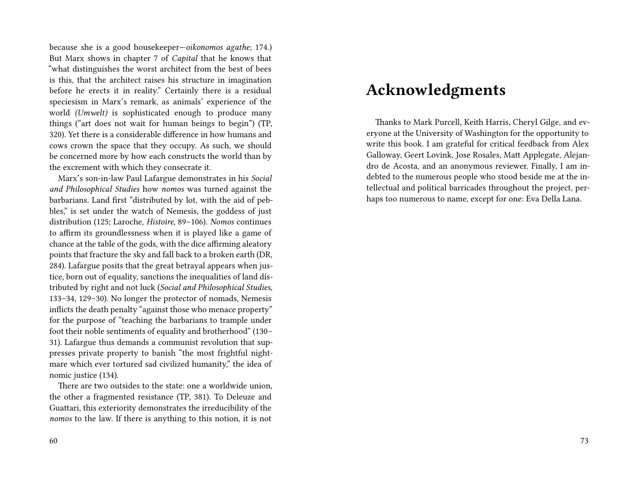because she is a good housekeeper—*oikonomos agathe*; 174.) But Marx shows in chapter 7 of *Capital* that he knows that "what distinguishes the worst architect from the best of bees is this, that the architect raises his structure in imagination before he erects it in reality." Certainly there is a residual speciesism in Marx's remark, as animals' experience of the world *(Umwelt)* is sophisticated enough to produce many things ("art does not wait for human beings to begin") (TP, 320). Yet there is a considerable difference in how humans and cows crown the space that they occupy. As such, we should be concerned more by how each constructs the world than by the excrement with which they consecrate it.

Marx's son-in-law Paul Lafargue demonstrates in his *Social and Philosophical Studies* how *nomos* was turned against the barbarians. Land first "distributed by lot, with the aid of pebbles," is set under the watch of Nemesis, the goddess of just distribution (125; Laroche, *Histoire,* 89–106). *Nomos* continues to affirm its groundlessness when it is played like a game of chance at the table of the gods, with the dice affirming aleatory points that fracture the sky and fall back to a broken earth (DR, 284). Lafargue posits that the great betrayal appears when justice, born out of equality, sanctions the inequalities of land distributed by right and not luck (*Social and Philosophical Studies,* 133–34, 129–30). No longer the protector of nomads, Nemesis inflicts the death penalty "against those who menace property" for the purpose of "teaching the barbarians to trample under foot their noble sentiments of equality and brotherhood" (130– 31). Lafargue thus demands a communist revolution that suppresses private property to banish "the most frightful nightmare which ever tortured sad civilized humanity," the idea of nomic justice (134).

There are two outsides to the state: one a worldwide union, the other a fragmented resistance (TP, 381). To Deleuze and Guattari, this exteriority demonstrates the irreducibility of the *nomos* to the law. If there is anything to this notion, it is not

## **Acknowledgments**

Thanks to Mark Purcell, Keith Harris, Cheryl Gilge, and everyone at the University of Washington for the opportunity to write this book. I am grateful for critical feedback from Alex Galloway, Geert Lovink, Jose Rosales, Matt Applegate, Alejandro de Acosta, and an anonymous reviewer. Finally, I am indebted to the numerous people who stood beside me at the intellectual and political barricades throughout the project, perhaps too numerous to name, except for one: Eva Della Lana.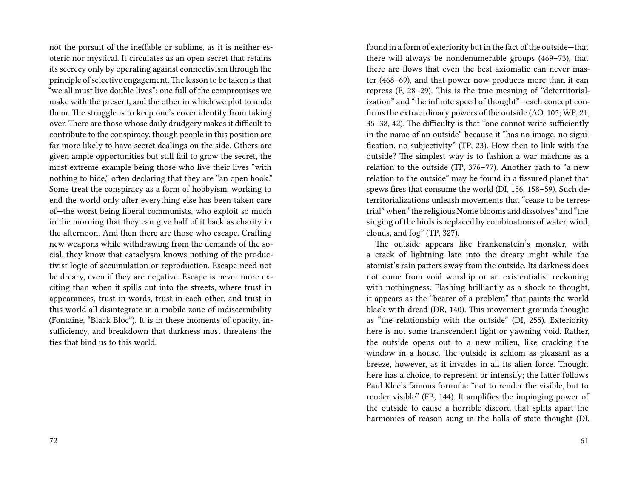not the pursuit of the ineffable or sublime, as it is neither esoteric nor mystical. It circulates as an open secret that retains its secrecy only by operating against connectivism through the principle of selective engagement. The lesson to be taken is that "we all must live double lives": one full of the compromises we make with the present, and the other in which we plot to undo them. The struggle is to keep one's cover identity from taking over. There are those whose daily drudgery makes it difficult to contribute to the conspiracy, though people in this position are far more likely to have secret dealings on the side. Others are given ample opportunities but still fail to grow the secret, the most extreme example being those who live their lives "with nothing to hide," often declaring that they are "an open book." Some treat the conspiracy as a form of hobbyism, working to end the world only after everything else has been taken care of—the worst being liberal communists, who exploit so much in the morning that they can give half of it back as charity in the afternoon. And then there are those who escape. Crafting new weapons while withdrawing from the demands of the social, they know that cataclysm knows nothing of the productivist logic of accumulation or reproduction. Escape need not be dreary, even if they are negative. Escape is never more exciting than when it spills out into the streets, where trust in appearances, trust in words, trust in each other, and trust in this world all disintegrate in a mobile zone of indiscernibility (Fontaine, "Black Bloc"). It is in these moments of opacity, insufficiency, and breakdown that darkness most threatens the ties that bind us to this world.

found in a form of exteriority but in the fact of the outside—that there will always be nondenumerable groups (469–73), that there are flows that even the best axiomatic can never master (468–69), and that power now produces more than it can repress (F, 28–29). This is the true meaning of "deterritorialization" and "the infinite speed of thought"—each concept confirms the extraordinary powers of the outside (AO, 105; WP, 21, 35–38, 42). The difficulty is that "one cannot write sufficiently in the name of an outside" because it "has no image, no signification, no subjectivity" (TP, 23). How then to link with the outside? The simplest way is to fashion a war machine as a relation to the outside (TP, 376–77). Another path to "a new relation to the outside" may be found in a fissured planet that spews fires that consume the world (DI, 156, 158–59). Such deterritorializations unleash movements that "cease to be terrestrial" when "the religious Nome blooms and dissolves" and "the singing of the birds is replaced by combinations of water, wind, clouds, and fog" (TP, 327).

The outside appears like Frankenstein's monster, with a crack of lightning late into the dreary night while the atomist's rain patters away from the outside. Its darkness does not come from void worship or an existentialist reckoning with nothingness. Flashing brilliantly as a shock to thought, it appears as the "bearer of a problem" that paints the world black with dread (DR, 140). This movement grounds thought as "the relationship with the outside" (DI, 255). Exteriority here is not some transcendent light or yawning void. Rather, the outside opens out to a new milieu, like cracking the window in a house. The outside is seldom as pleasant as a breeze, however, as it invades in all its alien force. Thought here has a choice, to represent or intensify; the latter follows Paul Klee's famous formula: "not to render the visible, but to render visible" (FB, 144). It amplifies the impinging power of the outside to cause a horrible discord that splits apart the harmonies of reason sung in the halls of state thought (DI,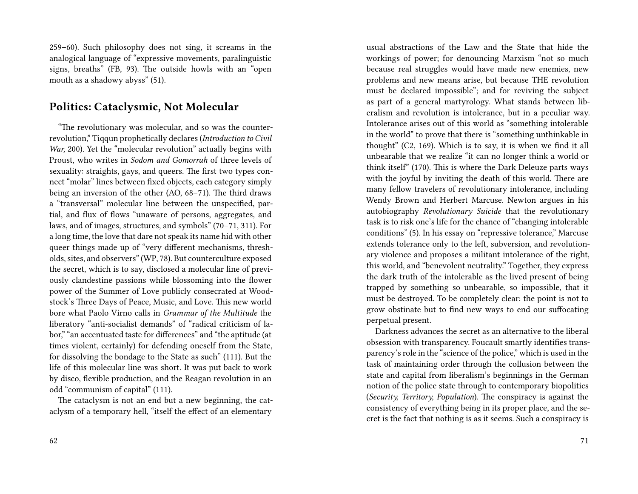259–60). Such philosophy does not sing, it screams in the analogical language of "expressive movements, paralinguistic signs, breaths" (FB, 93). The outside howls with an "open mouth as a shadowy abyss" (51).

#### **Politics: Cataclysmic, Not Molecular**

"The revolutionary was molecular, and so was the counterrevolution," Tiqqun prophetically declares (*Introduction to Civil War,* 200). Yet the "molecular revolution" actually begins with Proust, who writes in *Sodom and Gomorrah* of three levels of sexuality: straights, gays, and queers. The first two types connect "molar" lines between fixed objects, each category simply being an inversion of the other (AO, 68–71). The third draws a "transversal" molecular line between the unspecified, partial, and flux of flows "unaware of persons, aggregates, and laws, and of images, structures, and symbols" (70–71, 311). For a long time, the love that dare not speak its name hid with other queer things made up of "very different mechanisms, thresholds, sites, and observers" (WP, 78). But counterculture exposed the secret, which is to say, disclosed a molecular line of previously clandestine passions while blossoming into the flower power of the Summer of Love publicly consecrated at Woodstock's Three Days of Peace, Music, and Love. This new world bore what Paolo Virno calls in *Grammar of the Multitude* the liberatory "anti-socialist demands" of "radical criticism of labor," "an accentuated taste for differences" and "the aptitude (at times violent, certainly) for defending oneself from the State, for dissolving the bondage to the State as such" (111). But the life of this molecular line was short. It was put back to work by disco, flexible production, and the Reagan revolution in an odd "communism of capital" (111).

The cataclysm is not an end but a new beginning, the cataclysm of a temporary hell, "itself the effect of an elementary

usual abstractions of the Law and the State that hide the workings of power; for denouncing Marxism "not so much because real struggles would have made new enemies, new problems and new means arise, but because THE revolution must be declared impossible"; and for reviving the subject as part of a general martyrology. What stands between liberalism and revolution is intolerance, but in a peculiar way. Intolerance arises out of this world as "something intolerable in the world" to prove that there is "something unthinkable in thought" (C2, 169). Which is to say, it is when we find it all unbearable that we realize "it can no longer think a world or think itself" (170). This is where the Dark Deleuze parts ways with the joyful by inviting the death of this world. There are many fellow travelers of revolutionary intolerance, including Wendy Brown and Herbert Marcuse. Newton argues in his autobiography *Revolutionary Suicide* that the revolutionary task is to risk one's life for the chance of "changing intolerable conditions" (5). In his essay on "repressive tolerance," Marcuse extends tolerance only to the left, subversion, and revolutionary violence and proposes a militant intolerance of the right, this world, and "benevolent neutrality." Together, they express the dark truth of the intolerable as the lived present of being trapped by something so unbearable, so impossible, that it must be destroyed. To be completely clear: the point is not to grow obstinate but to find new ways to end our suffocating perpetual present.

Darkness advances the secret as an alternative to the liberal obsession with transparency. Foucault smartly identifies transparency's role in the "science of the police," which is used in the task of maintaining order through the collusion between the state and capital from liberalism's beginnings in the German notion of the police state through to contemporary biopolitics (*Security, Territory, Population*). The conspiracy is against the consistency of everything being in its proper place, and the secret is the fact that nothing is as it seems. Such a conspiracy is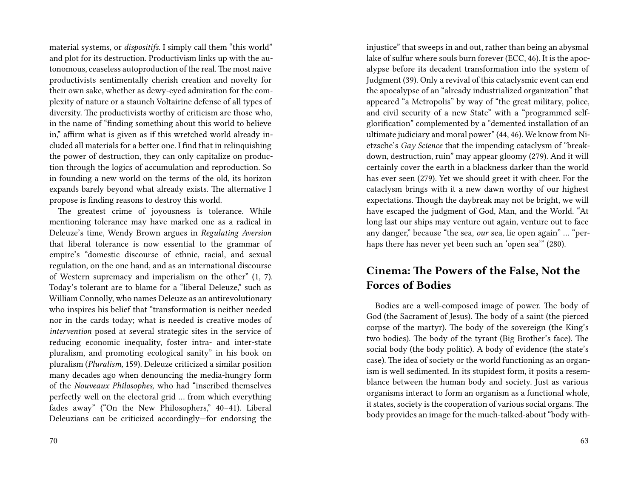material systems, or *dispositifs*. I simply call them "this world" and plot for its destruction. Productivism links up with the autonomous, ceaseless autoproduction of the real. The most naive productivists sentimentally cherish creation and novelty for their own sake, whether as dewy-eyed admiration for the complexity of nature or a staunch Voltairine defense of all types of diversity. The productivists worthy of criticism are those who, in the name of "finding something about this world to believe in," affirm what is given as if this wretched world already included all materials for a better one. I find that in relinquishing the power of destruction, they can only capitalize on production through the logics of accumulation and reproduction. So in founding a new world on the terms of the old, its horizon expands barely beyond what already exists. The alternative I propose is finding reasons to destroy this world.

The greatest crime of joyousness is tolerance. While mentioning tolerance may have marked one as a radical in Deleuze's time, Wendy Brown argues in *Regulating Aversion* that liberal tolerance is now essential to the grammar of empire's "domestic discourse of ethnic, racial, and sexual regulation, on the one hand, and as an international discourse of Western supremacy and imperialism on the other" (1, 7). Today's tolerant are to blame for a "liberal Deleuze," such as William Connolly, who names Deleuze as an antirevolutionary who inspires his belief that "transformation is neither needed nor in the cards today; what is needed is creative modes of *intervention* posed at several strategic sites in the service of reducing economic inequality, foster intra- and inter-state pluralism, and promoting ecological sanity" in his book on pluralism (*Pluralism,* 159). Deleuze criticized a similar position many decades ago when denouncing the media-hungry form of the *Nouveaux Philosophes,* who had "inscribed themselves perfectly well on the electoral grid … from which everything fades away" ("On the New Philosophers," 40–41). Liberal Deleuzians can be criticized accordingly—for endorsing the

injustice" that sweeps in and out, rather than being an abysmal lake of sulfur where souls burn forever (ECC, 46). It is the apocalypse before its decadent transformation into the system of Judgment (39). Only a revival of this cataclysmic event can end the apocalypse of an "already industrialized organization" that appeared "a Metropolis" by way of "the great military, police, and civil security of a new State" with a "programmed selfglorification" complemented by a "demented installation of an ultimate judiciary and moral power" (44, 46). We know from Nietzsche's *Gay Science* that the impending cataclysm of "breakdown, destruction, ruin" may appear gloomy (279). And it will certainly cover the earth in a blackness darker than the world has ever seen (279). Yet we should greet it with cheer. For the cataclysm brings with it a new dawn worthy of our highest expectations. Though the daybreak may not be bright, we will have escaped the judgment of God, Man, and the World. "At long last our ships may venture out again, venture out to face any danger," because "the sea, *our* sea, lie open again" … "perhaps there has never yet been such an 'open sea'" (280).

### **Cinema: The Powers of the False, Not the Forces of Bodies**

Bodies are a well-composed image of power. The body of God (the Sacrament of Jesus). The body of a saint (the pierced corpse of the martyr). The body of the sovereign (the King's two bodies). The body of the tyrant (Big Brother's face). The social body (the body politic). A body of evidence (the state's case). The idea of society or the world functioning as an organism is well sedimented. In its stupidest form, it posits a resemblance between the human body and society. Just as various organisms interact to form an organism as a functional whole, it states, society is the cooperation of various social organs. The body provides an image for the much-talked-about "body with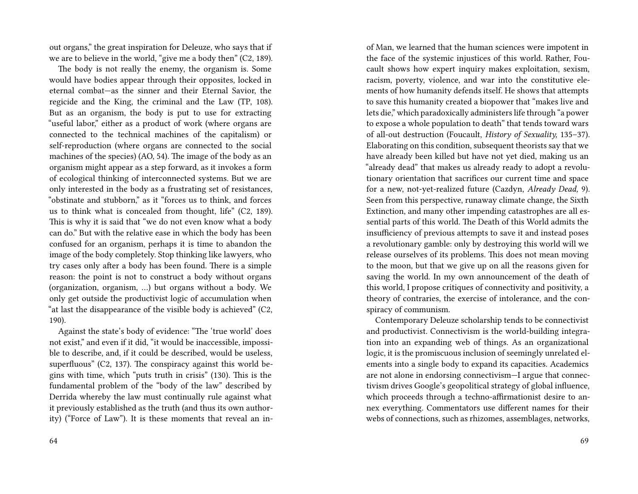out organs," the great inspiration for Deleuze, who says that if we are to believe in the world, "give me a body then" (C2, 189).

The body is not really the enemy, the organism is. Some would have bodies appear through their opposites, locked in eternal combat—as the sinner and their Eternal Savior, the regicide and the King, the criminal and the Law (TP, 108). But as an organism, the body is put to use for extracting "useful labor," either as a product of work (where organs are connected to the technical machines of the capitalism) or self-reproduction (where organs are connected to the social machines of the species) (AO, 54). The image of the body as an organism might appear as a step forward, as it invokes a form of ecological thinking of interconnected systems. But we are only interested in the body as a frustrating set of resistances, "obstinate and stubborn," as it "forces us to think, and forces us to think what is concealed from thought, life" (C2, 189). This is why it is said that "we do not even know what a body can do." But with the relative ease in which the body has been confused for an organism, perhaps it is time to abandon the image of the body completely. Stop thinking like lawyers, who try cases only after a body has been found. There is a simple reason: the point is not to construct a body without organs (organization, organism, …) but organs without a body. We only get outside the productivist logic of accumulation when "at last the disappearance of the visible body is achieved" (C2, 190).

Against the state's body of evidence: "The 'true world' does not exist," and even if it did, "it would be inaccessible, impossible to describe, and, if it could be described, would be useless, superfluous" (C2, 137). The conspiracy against this world begins with time, which "puts truth in crisis" (130). This is the fundamental problem of the "body of the law" described by Derrida whereby the law must continually rule against what it previously established as the truth (and thus its own authority) ("Force of Law"). It is these moments that reveal an in-

64

of Man, we learned that the human sciences were impotent in the face of the systemic injustices of this world. Rather, Foucault shows how expert inquiry makes exploitation, sexism, racism, poverty, violence, and war into the constitutive elements of how humanity defends itself. He shows that attempts to save this humanity created a biopower that "makes live and lets die," which paradoxically administers life through "a power to expose a whole population to death" that tends toward wars of all-out destruction (Foucault, *History of Sexuality,* 135–37). Elaborating on this condition, subsequent theorists say that we have already been killed but have not yet died, making us an "already dead" that makes us already ready to adopt a revolutionary orientation that sacrifices our current time and space for a new, not-yet-realized future (Cazdyn, *Already Dead,* 9). Seen from this perspective, runaway climate change, the Sixth Extinction, and many other impending catastrophes are all essential parts of this world. The Death of this World admits the insufficiency of previous attempts to save it and instead poses a revolutionary gamble: only by destroying this world will we release ourselves of its problems. This does not mean moving to the moon, but that we give up on all the reasons given for saving the world. In my own announcement of the death of this world, I propose critiques of connectivity and positivity, a theory of contraries, the exercise of intolerance, and the conspiracy of communism.

Contemporary Deleuze scholarship tends to be connectivist and productivist. Connectivism is the world-building integration into an expanding web of things. As an organizational logic, it is the promiscuous inclusion of seemingly unrelated elements into a single body to expand its capacities. Academics are not alone in endorsing connectivism—I argue that connectivism drives Google's geopolitical strategy of global influence, which proceeds through a techno-affirmationist desire to annex everything. Commentators use different names for their webs of connections, such as rhizomes, assemblages, networks,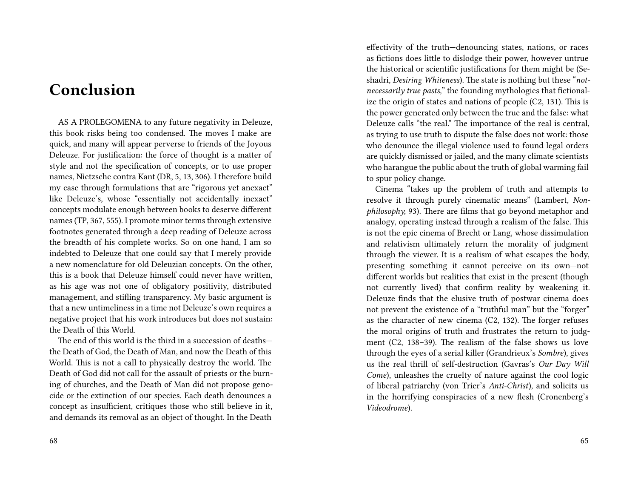## **Conclusion**

AS A PROLEGOMENA to any future negativity in Deleuze, this book risks being too condensed. The moves I make are quick, and many will appear perverse to friends of the Joyous Deleuze. For justification: the force of thought is a matter of style and not the specification of concepts, or to use proper names, Nietzsche contra Kant (DR, 5, 13, 306). I therefore build my case through formulations that are "rigorous yet anexact" like Deleuze's, whose "essentially not accidentally inexact" concepts modulate enough between books to deserve different names (TP, 367, 555). I promote minor terms through extensive footnotes generated through a deep reading of Deleuze across the breadth of his complete works. So on one hand, I am so indebted to Deleuze that one could say that I merely provide a new nomenclature for old Deleuzian concepts. On the other, this is a book that Deleuze himself could never have written, as his age was not one of obligatory positivity, distributed management, and stifling transparency. My basic argument is that a new untimeliness in a time not Deleuze's own requires a negative project that his work introduces but does not sustain: the Death of this World.

The end of this world is the third in a succession of deaths the Death of God, the Death of Man, and now the Death of this World. This is not a call to physically destroy the world. The Death of God did not call for the assault of priests or the burning of churches, and the Death of Man did not propose genocide or the extinction of our species. Each death denounces a concept as insufficient, critiques those who still believe in it, and demands its removal as an object of thought. In the Death

effectivity of the truth—denouncing states, nations, or races as fictions does little to dislodge their power, however untrue the historical or scientific justifications for them might be (Seshadri, *Desiring Whiteness*). The state is nothing but these "*notnecessarily true pasts,*" the founding mythologies that fictionalize the origin of states and nations of people (C2, 131). This is the power generated only between the true and the false: what Deleuze calls "the real." The importance of the real is central, as trying to use truth to dispute the false does not work: those who denounce the illegal violence used to found legal orders are quickly dismissed or jailed, and the many climate scientists who harangue the public about the truth of global warming fail to spur policy change.

Cinema "takes up the problem of truth and attempts to resolve it through purely cinematic means" (Lambert, *Nonphilosophy,* 93). There are films that go beyond metaphor and analogy, operating instead through a realism of the false. This is not the epic cinema of Brecht or Lang, whose dissimulation and relativism ultimately return the morality of judgment through the viewer. It is a realism of what escapes the body, presenting something it cannot perceive on its own—not different worlds but realities that exist in the present (though not currently lived) that confirm reality by weakening it. Deleuze finds that the elusive truth of postwar cinema does not prevent the existence of a "truthful man" but the "forger" as the character of new cinema (C2, 132). The forger refuses the moral origins of truth and frustrates the return to judgment (C2, 138–39). The realism of the false shows us love through the eyes of a serial killer (Grandrieux's *Sombre*), gives us the real thrill of self-destruction (Gavras's *Our Day Will Come*), unleashes the cruelty of nature against the cool logic of liberal patriarchy (von Trier's *Anti-Christ*), and solicits us in the horrifying conspiracies of a new flesh (Cronenberg's *Videodrome*).